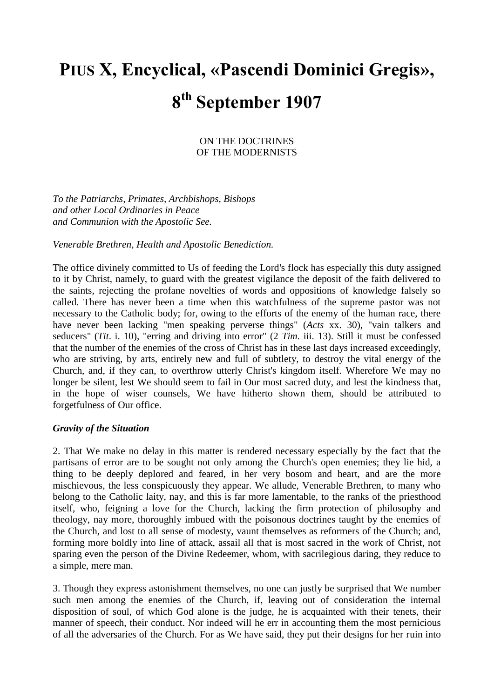# **PIUS X, Encyclical, «Pascendi Dominici Gregis», 8 th September 1907**

ON THE DOCTRINES OF THE MODERNISTS

*To the Patriarchs, Primates, Archbishops, Bishops and other Local Ordinaries in Peace and Communion with the Apostolic See.*

*Venerable Brethren, Health and Apostolic Benediction.*

The office divinely committed to Us of feeding the Lord's flock has especially this duty assigned to it by Christ, namely, to guard with the greatest vigilance the deposit of the faith delivered to the saints, rejecting the profane novelties of words and oppositions of knowledge falsely so called. There has never been a time when this watchfulness of the supreme pastor was not necessary to the Catholic body; for, owing to the efforts of the enemy of the human race, there have never been lacking "men speaking perverse things" (*Acts* xx. 30), "vain talkers and seducers" (*Tit*. i. 10), "erring and driving into error" (2 *Tim*. iii. 13). Still it must be confessed that the number of the enemies of the cross of Christ has in these last days increased exceedingly, who are striving, by arts, entirely new and full of subtlety, to destroy the vital energy of the Church, and, if they can, to overthrow utterly Christ's kingdom itself. Wherefore We may no longer be silent, lest We should seem to fail in Our most sacred duty, and lest the kindness that, in the hope of wiser counsels, We have hitherto shown them, should be attributed to forgetfulness of Our office.

#### *Gravity of the Situation*

2. That We make no delay in this matter is rendered necessary especially by the fact that the partisans of error are to be sought not only among the Church's open enemies; they lie hid, a thing to be deeply deplored and feared, in her very bosom and heart, and are the more mischievous, the less conspicuously they appear. We allude, Venerable Brethren, to many who belong to the Catholic laity, nay, and this is far more lamentable, to the ranks of the priesthood itself, who, feigning a love for the Church, lacking the firm protection of philosophy and theology, nay more, thoroughly imbued with the poisonous doctrines taught by the enemies of the Church, and lost to all sense of modesty, vaunt themselves as reformers of the Church; and, forming more boldly into line of attack, assail all that is most sacred in the work of Christ, not sparing even the person of the Divine Redeemer, whom, with sacrilegious daring, they reduce to a simple, mere man.

3. Though they express astonishment themselves, no one can justly be surprised that We number such men among the enemies of the Church, if, leaving out of consideration the internal disposition of soul, of which God alone is the judge, he is acquainted with their tenets, their manner of speech, their conduct. Nor indeed will he err in accounting them the most pernicious of all the adversaries of the Church. For as We have said, they put their designs for her ruin into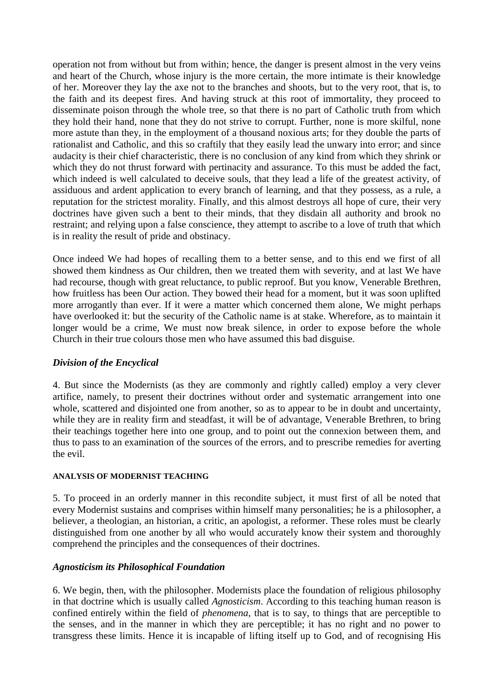operation not from without but from within; hence, the danger is present almost in the very veins and heart of the Church, whose injury is the more certain, the more intimate is their knowledge of her. Moreover they lay the axe not to the branches and shoots, but to the very root, that is, to the faith and its deepest fires. And having struck at this root of immortality, they proceed to disseminate poison through the whole tree, so that there is no part of Catholic truth from which they hold their hand, none that they do not strive to corrupt. Further, none is more skilful, none more astute than they, in the employment of a thousand noxious arts; for they double the parts of rationalist and Catholic, and this so craftily that they easily lead the unwary into error; and since audacity is their chief characteristic, there is no conclusion of any kind from which they shrink or which they do not thrust forward with pertinacity and assurance. To this must be added the fact, which indeed is well calculated to deceive souls, that they lead a life of the greatest activity, of assiduous and ardent application to every branch of learning, and that they possess, as a rule, a reputation for the strictest morality. Finally, and this almost destroys all hope of cure, their very doctrines have given such a bent to their minds, that they disdain all authority and brook no restraint; and relying upon a false conscience, they attempt to ascribe to a love of truth that which is in reality the result of pride and obstinacy.

Once indeed We had hopes of recalling them to a better sense, and to this end we first of all showed them kindness as Our children, then we treated them with severity, and at last We have had recourse, though with great reluctance, to public reproof. But you know, Venerable Brethren, how fruitless has been Our action. They bowed their head for a moment, but it was soon uplifted more arrogantly than ever. If it were a matter which concerned them alone, We might perhaps have overlooked it: but the security of the Catholic name is at stake. Wherefore, as to maintain it longer would be a crime, We must now break silence, in order to expose before the whole Church in their true colours those men who have assumed this bad disguise.

## *Division of the Encyclical*

4. But since the Modernists (as they are commonly and rightly called) employ a very clever artifice, namely, to present their doctrines without order and systematic arrangement into one whole, scattered and disjointed one from another, so as to appear to be in doubt and uncertainty, while they are in reality firm and steadfast, it will be of advantage, Venerable Brethren, to bring their teachings together here into one group, and to point out the connexion between them, and thus to pass to an examination of the sources of the errors, and to prescribe remedies for averting the evil.

## **ANALYSIS OF MODERNIST TEACHING**

5. To proceed in an orderly manner in this recondite subject, it must first of all be noted that every Modernist sustains and comprises within himself many personalities; he is a philosopher, a believer, a theologian, an historian, a critic, an apologist, a reformer. These roles must be clearly distinguished from one another by all who would accurately know their system and thoroughly comprehend the principles and the consequences of their doctrines.

# *Agnosticism its Philosophical Foundation*

6. We begin, then, with the philosopher. Modernists place the foundation of religious philosophy in that doctrine which is usually called *Agnosticism*. According to this teaching human reason is confined entirely within the field of *phenomena*, that is to say, to things that are perceptible to the senses, and in the manner in which they are perceptible; it has no right and no power to transgress these limits. Hence it is incapable of lifting itself up to God, and of recognising His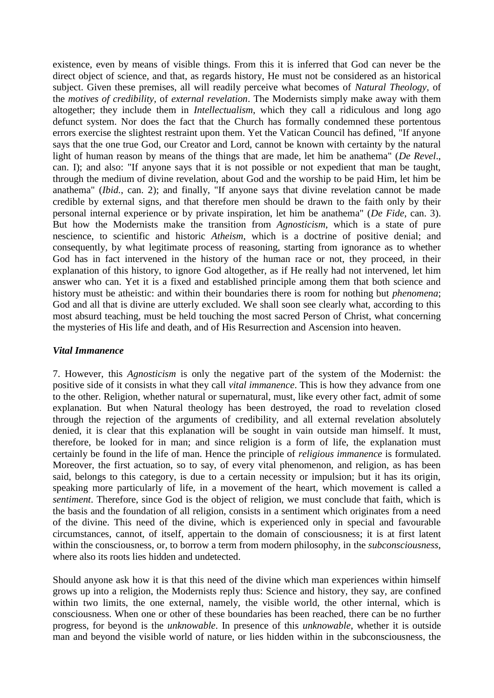existence, even by means of visible things. From this it is inferred that God can never be the direct object of science, and that, as regards history, He must not be considered as an historical subject. Given these premises, all will readily perceive what becomes of *Natural Theology,* of the *motives of credibility,* of *external revelation*. The Modernists simply make away with them altogether; they include them in *Intellectualism*, which they call a ridiculous and long ago defunct system. Nor does the fact that the Church has formally condemned these portentous errors exercise the slightest restraint upon them. Yet the Vatican Council has defined, "If anyone says that the one true God, our Creator and Lord, cannot be known with certainty by the natural light of human reason by means of the things that are made, let him be anathema" (*De Revel*., can. I); and also: "If anyone says that it is not possible or not expedient that man be taught, through the medium of divine revelation, about God and the worship to be paid Him, let him be anathema" (*Ibid.*, can. 2); and finally, "If anyone says that divine revelation cannot be made credible by external signs, and that therefore men should be drawn to the faith only by their personal internal experience or by private inspiration, let him be anathema" (*De Fide*, can. 3). But how the Modernists make the transition from *Agnosticism*, which is a state of pure nescience, to scientific and historic *Atheism*, which is a doctrine of positive denial; and consequently, by what legitimate process of reasoning, starting from ignorance as to whether God has in fact intervened in the history of the human race or not, they proceed, in their explanation of this history, to ignore God altogether, as if He really had not intervened, let him answer who can. Yet it is a fixed and established principle among them that both science and history must be atheistic: and within their boundaries there is room for nothing but *phenomena*; God and all that is divine are utterly excluded. We shall soon see clearly what, according to this most absurd teaching, must be held touching the most sacred Person of Christ, what concerning the mysteries of His life and death, and of His Resurrection and Ascension into heaven.

#### *Vital Immanence*

7. However, this *Agnosticism* is only the negative part of the system of the Modernist: the positive side of it consists in what they call *vital immanence*. This is how they advance from one to the other. Religion, whether natural or supernatural, must, like every other fact, admit of some explanation. But when Natural theology has been destroyed, the road to revelation closed through the rejection of the arguments of credibility, and all external revelation absolutely denied, it is clear that this explanation will be sought in vain outside man himself. It must, therefore, be looked for in man; and since religion is a form of life, the explanation must certainly be found in the life of man. Hence the principle of *religious immanence* is formulated. Moreover, the first actuation, so to say, of every vital phenomenon, and religion, as has been said, belongs to this category, is due to a certain necessity or impulsion; but it has its origin, speaking more particularly of life, in a movement of the heart, which movement is called a *sentiment*. Therefore, since God is the object of religion, we must conclude that faith, which is the basis and the foundation of all religion, consists in a sentiment which originates from a need of the divine. This need of the divine, which is experienced only in special and favourable circumstances, cannot, of itself, appertain to the domain of consciousness; it is at first latent within the consciousness, or, to borrow a term from modern philosophy, in the *subconsciousness*, where also its roots lies hidden and undetected.

Should anyone ask how it is that this need of the divine which man experiences within himself grows up into a religion, the Modernists reply thus: Science and history, they say, are confined within two limits, the one external, namely, the visible world, the other internal, which is consciousness. When one or other of these boundaries has been reached, there can be no further progress, for beyond is the *unknowable*. In presence of this *unknowable*, whether it is outside man and beyond the visible world of nature, or lies hidden within in the subconsciousness, the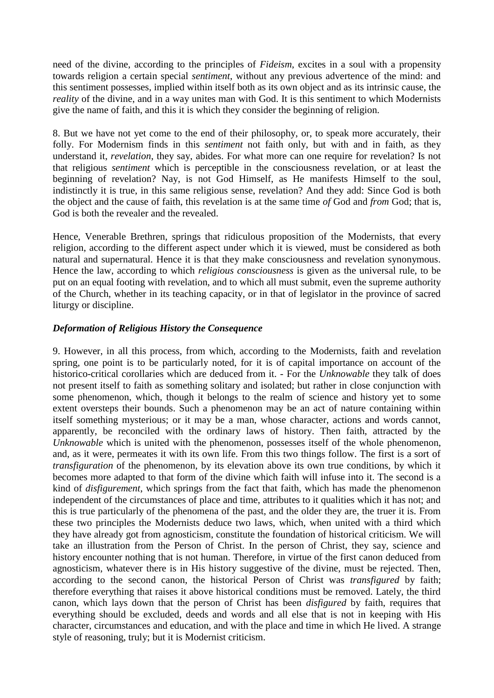need of the divine, according to the principles of *Fideism*, excites in a soul with a propensity towards religion a certain special *sentiment*, without any previous advertence of the mind: and this sentiment possesses, implied within itself both as its own object and as its intrinsic cause, the *reality* of the divine, and in a way unites man with God. It is this sentiment to which Modernists give the name of faith, and this it is which they consider the beginning of religion.

8. But we have not yet come to the end of their philosophy, or, to speak more accurately, their folly. For Modernism finds in this *sentiment* not faith only, but with and in faith, as they understand it, *revelation*, they say, abides. For what more can one require for revelation? Is not that religious *sentiment* which is perceptible in the consciousness revelation, or at least the beginning of revelation? Nay, is not God Himself, as He manifests Himself to the soul, indistinctly it is true, in this same religious sense, revelation? And they add: Since God is both the object and the cause of faith, this revelation is at the same time *of* God and *from* God; that is, God is both the revealer and the revealed.

Hence, Venerable Brethren, springs that ridiculous proposition of the Modernists, that every religion, according to the different aspect under which it is viewed, must be considered as both natural and supernatural. Hence it is that they make consciousness and revelation synonymous. Hence the law, according to which *religious consciousness* is given as the universal rule, to be put on an equal footing with revelation, and to which all must submit, even the supreme authority of the Church, whether in its teaching capacity, or in that of legislator in the province of sacred liturgy or discipline.

## *Deformation of Religious History the Consequence*

9. However, in all this process, from which, according to the Modernists, faith and revelation spring, one point is to be particularly noted, for it is of capital importance on account of the historico-critical corollaries which are deduced from it. - For the *Unknowable* they talk of does not present itself to faith as something solitary and isolated; but rather in close conjunction with some phenomenon, which, though it belongs to the realm of science and history yet to some extent oversteps their bounds. Such a phenomenon may be an act of nature containing within itself something mysterious; or it may be a man, whose character, actions and words cannot, apparently, be reconciled with the ordinary laws of history. Then faith, attracted by the *Unknowable* which is united with the phenomenon, possesses itself of the whole phenomenon, and, as it were, permeates it with its own life. From this two things follow. The first is a sort of *transfiguration* of the phenomenon, by its elevation above its own true conditions, by which it becomes more adapted to that form of the divine which faith will infuse into it. The second is a kind of *disfigurement*, which springs from the fact that faith, which has made the phenomenon independent of the circumstances of place and time, attributes to it qualities which it has not; and this is true particularly of the phenomena of the past, and the older they are, the truer it is. From these two principles the Modernists deduce two laws, which, when united with a third which they have already got from agnosticism, constitute the foundation of historical criticism. We will take an illustration from the Person of Christ. In the person of Christ, they say, science and history encounter nothing that is not human. Therefore, in virtue of the first canon deduced from agnosticism, whatever there is in His history suggestive of the divine, must be rejected. Then, according to the second canon, the historical Person of Christ was *transfigured* by faith; therefore everything that raises it above historical conditions must be removed. Lately, the third canon, which lays down that the person of Christ has been *disfigured* by faith, requires that everything should be excluded, deeds and words and all else that is not in keeping with His character, circumstances and education, and with the place and time in which He lived. A strange style of reasoning, truly; but it is Modernist criticism.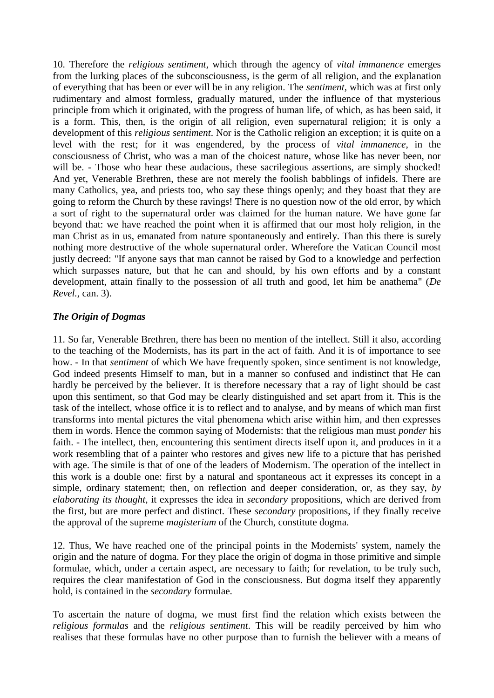10. Therefore the *religious sentiment*, which through the agency of *vital immanence* emerges from the lurking places of the subconsciousness, is the germ of all religion, and the explanation of everything that has been or ever will be in any religion. The *sentiment*, which was at first only rudimentary and almost formless, gradually matured, under the influence of that mysterious principle from which it originated, with the progress of human life, of which, as has been said, it is a form. This, then, is the origin of all religion, even supernatural religion; it is only a development of this *religious sentiment*. Nor is the Catholic religion an exception; it is quite on a level with the rest; for it was engendered, by the process of *vital immanence*, in the consciousness of Christ, who was a man of the choicest nature, whose like has never been, nor will be. - Those who hear these audacious, these sacrilegious assertions, are simply shocked! And yet, Venerable Brethren, these are not merely the foolish babblings of infidels. There are many Catholics, yea, and priests too, who say these things openly; and they boast that they are going to reform the Church by these ravings! There is no question now of the old error, by which a sort of right to the supernatural order was claimed for the human nature. We have gone far beyond that: we have reached the point when it is affirmed that our most holy religion, in the man Christ as in us, emanated from nature spontaneously and entirely. Than this there is surely nothing more destructive of the whole supernatural order. Wherefore the Vatican Council most justly decreed: "If anyone says that man cannot be raised by God to a knowledge and perfection which surpasses nature, but that he can and should, by his own efforts and by a constant development, attain finally to the possession of all truth and good, let him be anathema" (*De Revel.*, can. 3).

## *The Origin of Dogmas*

11. So far, Venerable Brethren, there has been no mention of the intellect. Still it also, according to the teaching of the Modernists, has its part in the act of faith. And it is of importance to see how. - In that *sentiment* of which We have frequently spoken, since sentiment is not knowledge, God indeed presents Himself to man, but in a manner so confused and indistinct that He can hardly be perceived by the believer. It is therefore necessary that a ray of light should be cast upon this sentiment, so that God may be clearly distinguished and set apart from it. This is the task of the intellect, whose office it is to reflect and to analyse, and by means of which man first transforms into mental pictures the vital phenomena which arise within him, and then expresses them in words. Hence the common saying of Modernists: that the religious man must *ponder* his faith. - The intellect, then, encountering this sentiment directs itself upon it, and produces in it a work resembling that of a painter who restores and gives new life to a picture that has perished with age. The simile is that of one of the leaders of Modernism. The operation of the intellect in this work is a double one: first by a natural and spontaneous act it expresses its concept in a simple, ordinary statement; then, on reflection and deeper consideration, or, as they say, *by elaborating its thought*, it expresses the idea in *secondary* propositions, which are derived from the first, but are more perfect and distinct. These *secondary* propositions, if they finally receive the approval of the supreme *magisterium* of the Church, constitute dogma.

12. Thus, We have reached one of the principal points in the Modernists' system, namely the origin and the nature of dogma. For they place the origin of dogma in those primitive and simple formulae, which, under a certain aspect, are necessary to faith; for revelation, to be truly such, requires the clear manifestation of God in the consciousness. But dogma itself they apparently hold, is contained in the *secondary* formulae.

To ascertain the nature of dogma, we must first find the relation which exists between the *religious formulas* and the *religious sentiment*. This will be readily perceived by him who realises that these formulas have no other purpose than to furnish the believer with a means of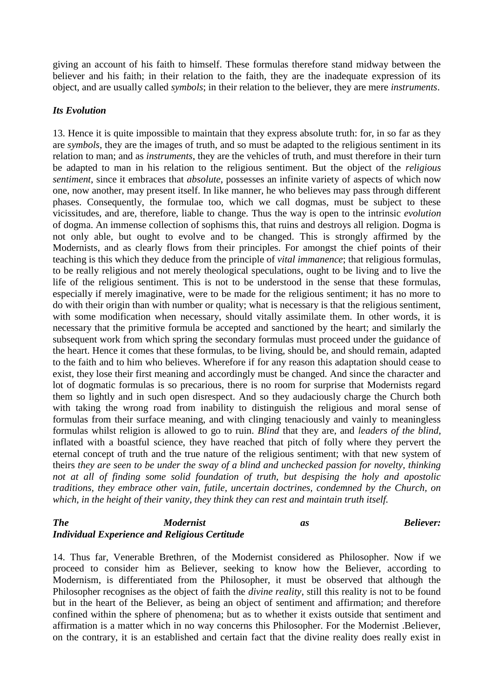giving an account of his faith to himself. These formulas therefore stand midway between the believer and his faith; in their relation to the faith, they are the inadequate expression of its object, and are usually called *symbols*; in their relation to the believer, they are mere *instruments*.

#### *Its Evolution*

13. Hence it is quite impossible to maintain that they express absolute truth: for, in so far as they are *symbols*, they are the images of truth, and so must be adapted to the religious sentiment in its relation to man; and as *instruments*, they are the vehicles of truth, and must therefore in their turn be adapted to man in his relation to the religious sentiment. But the object of the *religious sentiment*, since it embraces that *absolute*, possesses an infinite variety of aspects of which now one, now another, may present itself. In like manner, he who believes may pass through different phases. Consequently, the formulae too, which we call dogmas, must be subject to these vicissitudes, and are, therefore, liable to change. Thus the way is open to the intrinsic *evolution* of dogma. An immense collection of sophisms this, that ruins and destroys all religion. Dogma is not only able, but ought to evolve and to be changed. This is strongly affirmed by the Modernists, and as clearly flows from their principles. For amongst the chief points of their teaching is this which they deduce from the principle of *vital immanence*; that religious formulas, to be really religious and not merely theological speculations, ought to be living and to live the life of the religious sentiment. This is not to be understood in the sense that these formulas, especially if merely imaginative, were to be made for the religious sentiment; it has no more to do with their origin than with number or quality; what is necessary is that the religious sentiment, with some modification when necessary, should vitally assimilate them. In other words, it is necessary that the primitive formula be accepted and sanctioned by the heart; and similarly the subsequent work from which spring the secondary formulas must proceed under the guidance of the heart. Hence it comes that these formulas, to be living, should be, and should remain, adapted to the faith and to him who believes. Wherefore if for any reason this adaptation should cease to exist, they lose their first meaning and accordingly must be changed. And since the character and lot of dogmatic formulas is so precarious, there is no room for surprise that Modernists regard them so lightly and in such open disrespect. And so they audaciously charge the Church both with taking the wrong road from inability to distinguish the religious and moral sense of formulas from their surface meaning, and with clinging tenaciously and vainly to meaningless formulas whilst religion is allowed to go to ruin. *Blind* that they are, and *leaders of the blind*, inflated with a boastful science, they have reached that pitch of folly where they pervert the eternal concept of truth and the true nature of the religious sentiment; with that new system of theirs *they are seen to be under the sway of a blind and unchecked passion for novelty, thinking not at all of finding some solid foundation of truth, but despising the holy and apostolic traditions, they embrace other vain, futile, uncertain doctrines, condemned by the Church, on which, in the height of their vanity, they think they can rest and maintain truth itself.*

#### *The Modernist as Believer: Individual Experience and Religious Certitude*

14. Thus far, Venerable Brethren, of the Modernist considered as Philosopher. Now if we proceed to consider him as Believer, seeking to know how the Believer, according to Modernism, is differentiated from the Philosopher, it must be observed that although the Philosopher recognises as the object of faith the *divine reality*, still this reality is not to be found but in the heart of the Believer, as being an object of sentiment and affirmation; and therefore confined within the sphere of phenomena; but as to whether it exists outside that sentiment and affirmation is a matter which in no way concerns this Philosopher. For the Modernist .Believer, on the contrary, it is an established and certain fact that the divine reality does really exist in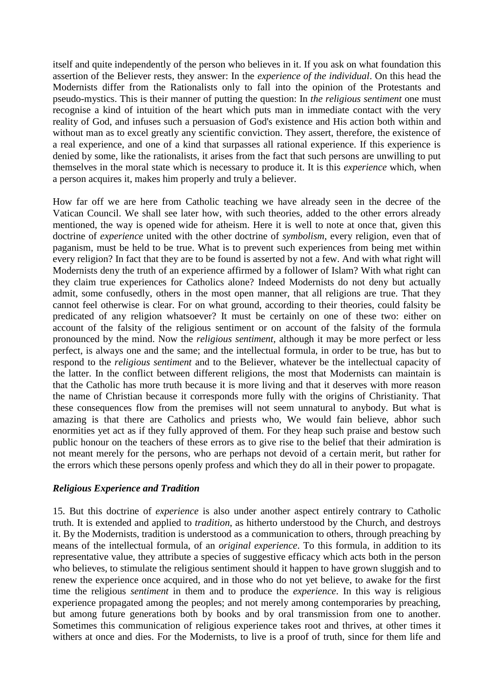itself and quite independently of the person who believes in it. If you ask on what foundation this assertion of the Believer rests, they answer: In the *experience of the individual*. On this head the Modernists differ from the Rationalists only to fall into the opinion of the Protestants and pseudo-mystics. This is their manner of putting the question: In *the religious sentiment* one must recognise a kind of intuition of the heart which puts man in immediate contact with the very reality of God, and infuses such a persuasion of God's existence and His action both within and without man as to excel greatly any scientific conviction. They assert, therefore, the existence of a real experience, and one of a kind that surpasses all rational experience. If this experience is denied by some, like the rationalists, it arises from the fact that such persons are unwilling to put themselves in the moral state which is necessary to produce it. It is this *experience* which, when a person acquires it, makes him properly and truly a believer.

How far off we are here from Catholic teaching we have already seen in the decree of the Vatican Council. We shall see later how, with such theories, added to the other errors already mentioned, the way is opened wide for atheism. Here it is well to note at once that, given this doctrine of *experience* united with the other doctrine of *symbolism*, every religion, even that of paganism, must be held to be true. What is to prevent such experiences from being met within every religion? In fact that they are to be found is asserted by not a few. And with what right will Modernists deny the truth of an experience affirmed by a follower of Islam? With what right can they claim true experiences for Catholics alone? Indeed Modernists do not deny but actually admit, some confusedly, others in the most open manner, that all religions are true. That they cannot feel otherwise is clear. For on what ground, according to their theories, could falsity be predicated of any religion whatsoever? It must be certainly on one of these two: either on account of the falsity of the religious sentiment or on account of the falsity of the formula pronounced by the mind. Now the *religious sentiment,* although it may be more perfect or less perfect, is always one and the same; and the intellectual formula, in order to be true, has but to respond to the *religious sentiment* and to the Believer, whatever be the intellectual capacity of the latter. In the conflict between different religions, the most that Modernists can maintain is that the Catholic has more truth because it is more living and that it deserves with more reason the name of Christian because it corresponds more fully with the origins of Christianity. That these consequences flow from the premises will not seem unnatural to anybody. But what is amazing is that there are Catholics and priests who, We would fain believe, abhor such enormities yet act as if they fully approved of them. For they heap such praise and bestow such public honour on the teachers of these errors as to give rise to the belief that their admiration is not meant merely for the persons, who are perhaps not devoid of a certain merit, but rather for the errors which these persons openly profess and which they do all in their power to propagate.

#### *Religious Experience and Tradition*

15. But this doctrine of *experience* is also under another aspect entirely contrary to Catholic truth. It is extended and applied to *tradition*, as hitherto understood by the Church, and destroys it. By the Modernists, tradition is understood as a communication to others, through preaching by means of the intellectual formula, of an *original experience*. To this formula, in addition to its representative value, they attribute a species of suggestive efficacy which acts both in the person who believes, to stimulate the religious sentiment should it happen to have grown sluggish and to renew the experience once acquired, and in those who do not yet believe, to awake for the first time the religious *sentiment* in them and to produce the *experience*. In this way is religious experience propagated among the peoples; and not merely among contemporaries by preaching, but among future generations both by books and by oral transmission from one to another. Sometimes this communication of religious experience takes root and thrives, at other times it withers at once and dies. For the Modernists, to live is a proof of truth, since for them life and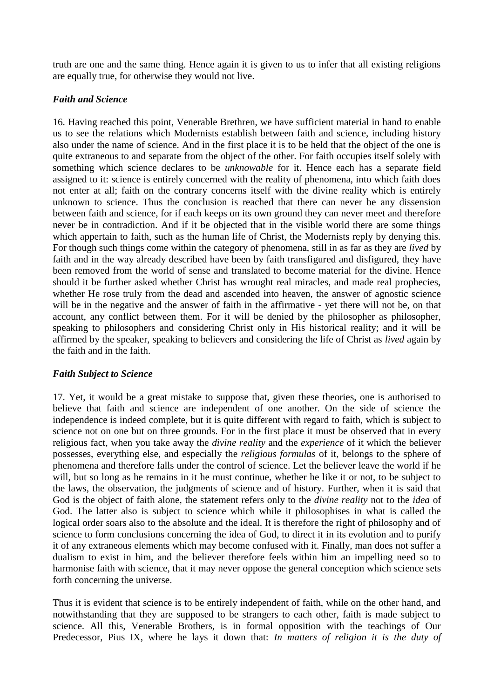truth are one and the same thing. Hence again it is given to us to infer that all existing religions are equally true, for otherwise they would not live.

## *Faith and Science*

16. Having reached this point, Venerable Brethren, we have sufficient material in hand to enable us to see the relations which Modernists establish between faith and science, including history also under the name of science. And in the first place it is to be held that the object of the one is quite extraneous to and separate from the object of the other. For faith occupies itself solely with something which science declares to be *unknowable* for it. Hence each has a separate field assigned to it: science is entirely concerned with the reality of phenomena, into which faith does not enter at all; faith on the contrary concerns itself with the divine reality which is entirely unknown to science. Thus the conclusion is reached that there can never be any dissension between faith and science, for if each keeps on its own ground they can never meet and therefore never be in contradiction. And if it be objected that in the visible world there are some things which appertain to faith, such as the human life of Christ, the Modernists reply by denying this. For though such things come within the category of phenomena, still in as far as they are *lived* by faith and in the way already described have been by faith transfigured and disfigured, they have been removed from the world of sense and translated to become material for the divine. Hence should it be further asked whether Christ has wrought real miracles, and made real prophecies, whether He rose truly from the dead and ascended into heaven, the answer of agnostic science will be in the negative and the answer of faith in the affirmative - yet there will not be, on that account, any conflict between them. For it will be denied by the philosopher as philosopher, speaking to philosophers and considering Christ only in His historical reality; and it will be affirmed by the speaker, speaking to believers and considering the life of Christ as *lived* again by the faith and in the faith.

## *Faith Subject to Science*

17. Yet, it would be a great mistake to suppose that, given these theories, one is authorised to believe that faith and science are independent of one another. On the side of science the independence is indeed complete, but it is quite different with regard to faith, which is subject to science not on one but on three grounds. For in the first place it must be observed that in every religious fact, when you take away the *divine reality* and the *experience* of it which the believer possesses, everything else, and especially the *religious formulas* of it, belongs to the sphere of phenomena and therefore falls under the control of science. Let the believer leave the world if he will, but so long as he remains in it he must continue, whether he like it or not, to be subject to the laws, the observation, the judgments of science and of history. Further, when it is said that God is the object of faith alone, the statement refers only to the *divine reality* not to the *idea* of God. The latter also is subject to science which while it philosophises in what is called the logical order soars also to the absolute and the ideal. It is therefore the right of philosophy and of science to form conclusions concerning the idea of God, to direct it in its evolution and to purify it of any extraneous elements which may become confused with it. Finally, man does not suffer a dualism to exist in him, and the believer therefore feels within him an impelling need so to harmonise faith with science, that it may never oppose the general conception which science sets forth concerning the universe.

Thus it is evident that science is to be entirely independent of faith, while on the other hand, and notwithstanding that they are supposed to be strangers to each other, faith is made subject to science. All this, Venerable Brothers, is in formal opposition with the teachings of Our Predecessor, Pius IX, where he lays it down that: *In matters of religion it is the duty of*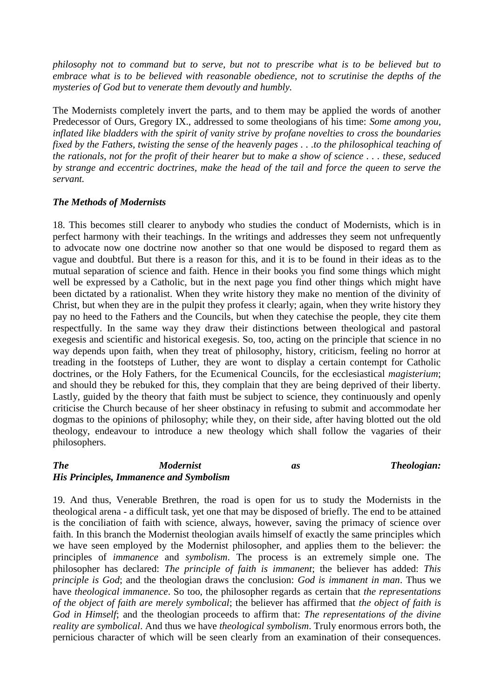*philosophy not to command but to serve, but not to prescribe what is to be believed but to embrace what is to be believed with reasonable obedience, not to scrutinise the depths of the mysteries of God but to venerate them devoutly and humbly.*

The Modernists completely invert the parts, and to them may be applied the words of another Predecessor of Ours, Gregory IX., addressed to some theologians of his time: *Some among you, inflated like bladders with the spirit of vanity strive by profane novelties to cross the boundaries fixed by the Fathers, twisting the sense of the heavenly pages . . .to the philosophical teaching of the rationals, not for the profit of their hearer but to make a show of science . . . these, seduced by strange and eccentric doctrines, make the head of the tail and force the queen to serve the servant.*

#### *The Methods of Modernists*

18. This becomes still clearer to anybody who studies the conduct of Modernists, which is in perfect harmony with their teachings. In the writings and addresses they seem not unfrequently to advocate now one doctrine now another so that one would be disposed to regard them as vague and doubtful. But there is a reason for this, and it is to be found in their ideas as to the mutual separation of science and faith. Hence in their books you find some things which might well be expressed by a Catholic, but in the next page you find other things which might have been dictated by a rationalist. When they write history they make no mention of the divinity of Christ, but when they are in the pulpit they profess it clearly; again, when they write history they pay no heed to the Fathers and the Councils, but when they catechise the people, they cite them respectfully. In the same way they draw their distinctions between theological and pastoral exegesis and scientific and historical exegesis. So, too, acting on the principle that science in no way depends upon faith, when they treat of philosophy, history, criticism, feeling no horror at treading in the footsteps of Luther, they are wont to display a certain contempt for Catholic doctrines, or the Holy Fathers, for the Ecumenical Councils, for the ecclesiastical *magisterium*; and should they be rebuked for this, they complain that they are being deprived of their liberty. Lastly, guided by the theory that faith must be subject to science, they continuously and openly criticise the Church because of her sheer obstinacy in refusing to submit and accommodate her dogmas to the opinions of philosophy; while they, on their side, after having blotted out the old theology, endeavour to introduce a new theology which shall follow the vagaries of their philosophers.

#### *The Modernist as Theologian: His Principles, Immanence and Symbolism*

19. And thus, Venerable Brethren, the road is open for us to study the Modernists in the theological arena - a difficult task, yet one that may be disposed of briefly. The end to be attained is the conciliation of faith with science, always, however, saving the primacy of science over faith. In this branch the Modernist theologian avails himself of exactly the same principles which we have seen employed by the Modernist philosopher, and applies them to the believer: the principles of *immanence* and *symbolism*. The process is an extremely simple one. The philosopher has declared: *The principle of faith is immanent*; the believer has added: *This principle is God*; and the theologian draws the conclusion: *God is immanent in man*. Thus we have *theological immanence*. So too, the philosopher regards as certain that *the representations of the object of faith are merely symbolical*; the believer has affirmed that *the object of faith is God in Himself*; and the theologian proceeds to affirm that: *The representations of the divine reality are symbolical*. And thus we have *theological symbolism*. Truly enormous errors both, the pernicious character of which will be seen clearly from an examination of their consequences.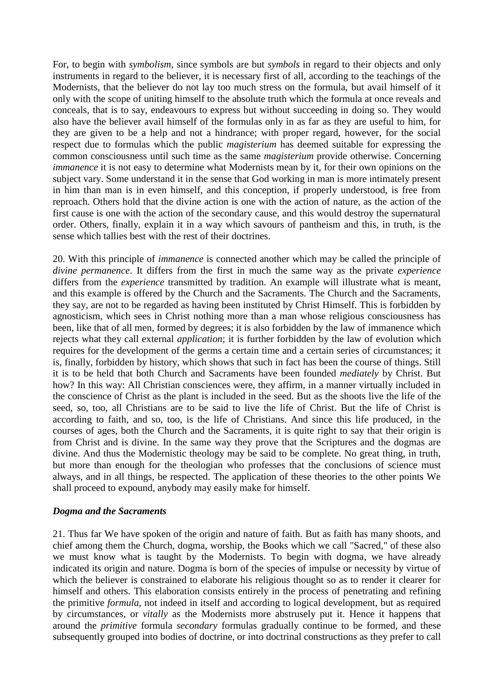For, to begin with *symbolism*, since symbols are but *symbols* in regard to their objects and only instruments in regard to the believer, it is necessary first of all, according to the teachings of the Modernists, that the believer do not lay too much stress on the formula, but avail himself of it only with the scope of uniting himself to the absolute truth which the formula at once reveals and conceals, that is to say, endeavours to express but without succeeding in doing so. They would also have the believer avail himself of the formulas only in as far as they are useful to him, for they are given to be a help and not a hindrance; with proper regard, however, for the social respect due to formulas which the public *magisterium* has deemed suitable for expressing the common consciousness until such time as the same *magisterium* provide otherwise. Concerning *immanence* it is not easy to determine what Modernists mean by it, for their own opinions on the subject vary. Some understand it in the sense that God working in man is more intimately present in him than man is in even himself, and this conception, if properly understood, is free from reproach. Others hold that the divine action is one with the action of nature, as the action of the first cause is one with the action of the secondary cause, and this would destroy the supernatural order. Others, finally, explain it in a way which savours of pantheism and this, in truth, is the sense which tallies best with the rest of their doctrines.

20. With this principle of *immanence* is connected another which may be called the principle of *divine permanence*. It differs from the first in much the same way as the private *experience* differs from the *experience* transmitted by tradition. An example will illustrate what is meant, and this example is offered by the Church and the Sacraments. The Church and the Sacraments, they say, are not to be regarded as having been instituted by Christ Himself. This is forbidden by agnosticism, which sees in Christ nothing more than a man whose religious consciousness has been, like that of all men, formed by degrees; it is also forbidden by the law of immanence which rejects what they call external *application*; it is further forbidden by the law of evolution which requires for the development of the germs a certain time and a certain series of circumstances; it is, finally, forbidden by history, which shows that such in fact has been the course of things. Still it is to be held that both Church and Sacraments have been founded *mediately* by Christ. But how? In this way: All Christian consciences were, they affirm, in a manner virtually included in the conscience of Christ as the plant is included in the seed. But as the shoots live the life of the seed, so, too, all Christians are to be said to live the life of Christ. But the life of Christ is according to faith, and so, too, is the life of Christians. And since this life produced, in the courses of ages, both the Church and the Sacraments, it is quite right to say that their origin is from Christ and is divine. In the same way they prove that the Scriptures and the dogmas are divine. And thus the Modernistic theology may be said to be complete. No great thing, in truth, but more than enough for the theologian who professes that the conclusions of science must always, and in all things, be respected. The application of these theories to the other points We shall proceed to expound, anybody may easily make for himself.

#### *Dogma and the Sacraments*

21. Thus far We have spoken of the origin and nature of faith. But as faith has many shoots, and chief among them the Church, dogma, worship, the Books which we call "Sacred," of these also we must know what is taught by the Modernists. To begin with dogma, we have already indicated its origin and nature. Dogma is born of the species of impulse or necessity by virtue of which the believer is constrained to elaborate his religious thought so as to render it clearer for himself and others. This elaboration consists entirely in the process of penetrating and refining the primitive *formula*, not indeed in itself and according to logical development, but as required by circumstances, or *vitally* as the Modernists more abstrusely put it. Hence it happens that around the *primitive* formula *secondary* formulas gradually continue to be formed, and these subsequently grouped into bodies of doctrine, or into doctrinal constructions as they prefer to call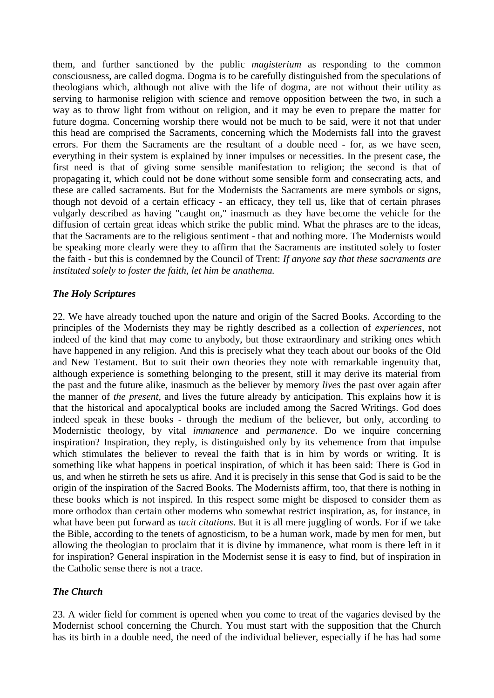them, and further sanctioned by the public *magisterium* as responding to the common consciousness, are called dogma. Dogma is to be carefully distinguished from the speculations of theologians which, although not alive with the life of dogma, are not without their utility as serving to harmonise religion with science and remove opposition between the two, in such a way as to throw light from without on religion, and it may be even to prepare the matter for future dogma. Concerning worship there would not be much to be said, were it not that under this head are comprised the Sacraments, concerning which the Modernists fall into the gravest errors. For them the Sacraments are the resultant of a double need - for, as we have seen, everything in their system is explained by inner impulses or necessities. In the present case, the first need is that of giving some sensible manifestation to religion; the second is that of propagating it, which could not be done without some sensible form and consecrating acts, and these are called sacraments. But for the Modernists the Sacraments are mere symbols or signs, though not devoid of a certain efficacy - an efficacy, they tell us, like that of certain phrases vulgarly described as having "caught on," inasmuch as they have become the vehicle for the diffusion of certain great ideas which strike the public mind. What the phrases are to the ideas, that the Sacraments are to the religious sentiment - that and nothing more. The Modernists would be speaking more clearly were they to affirm that the Sacraments are instituted solely to foster the faith - but this is condemned by the Council of Trent: *If anyone say that these sacraments are instituted solely to foster the faith, let him be anathema.*

## *The Holy Scriptures*

22. We have already touched upon the nature and origin of the Sacred Books. According to the principles of the Modernists they may be rightly described as a collection of *experiences*, not indeed of the kind that may come to anybody, but those extraordinary and striking ones which have happened in any religion. And this is precisely what they teach about our books of the Old and New Testament. But to suit their own theories they note with remarkable ingenuity that, although experience is something belonging to the present, still it may derive its material from the past and the future alike, inasmuch as the believer by memory *lives* the past over again after the manner of *the present*, and lives the future already by anticipation. This explains how it is that the historical and apocalyptical books are included among the Sacred Writings. God does indeed speak in these books - through the medium of the believer, but only, according to Modernistic theology, by vital *immanence* and *permanence*. Do we inquire concerning inspiration? Inspiration, they reply, is distinguished only by its vehemence from that impulse which stimulates the believer to reveal the faith that is in him by words or writing. It is something like what happens in poetical inspiration, of which it has been said: There is God in us, and when he stirreth he sets us afire. And it is precisely in this sense that God is said to be the origin of the inspiration of the Sacred Books. The Modernists affirm, too, that there is nothing in these books which is not inspired. In this respect some might be disposed to consider them as more orthodox than certain other moderns who somewhat restrict inspiration, as, for instance, in what have been put forward as *tacit citations*. But it is all mere juggling of words. For if we take the Bible, according to the tenets of agnosticism, to be a human work, made by men for men, but allowing the theologian to proclaim that it is divine by immanence, what room is there left in it for inspiration? General inspiration in the Modernist sense it is easy to find, but of inspiration in the Catholic sense there is not a trace.

# *The Church*

23. A wider field for comment is opened when you come to treat of the vagaries devised by the Modernist school concerning the Church. You must start with the supposition that the Church has its birth in a double need, the need of the individual believer, especially if he has had some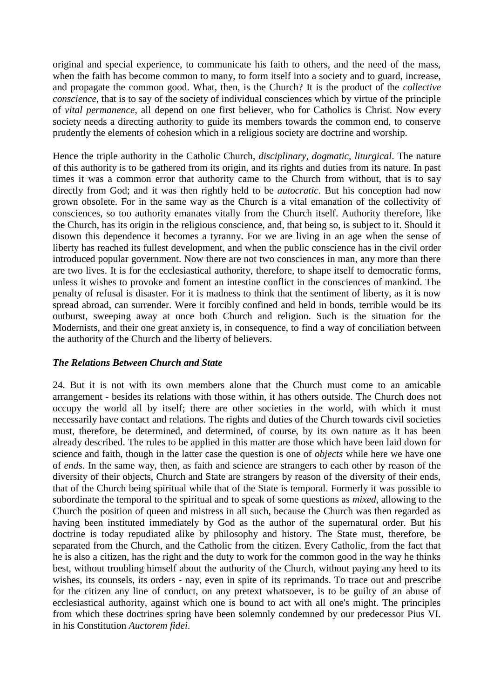original and special experience, to communicate his faith to others, and the need of the mass, when the faith has become common to many, to form itself into a society and to guard, increase, and propagate the common good. What, then, is the Church? It is the product of the *collective conscience*, that is to say of the society of individual consciences which by virtue of the principle of *vital permanence*, all depend on one first believer, who for Catholics is Christ. Now every society needs a directing authority to guide its members towards the common end, to conserve prudently the elements of cohesion which in a religious society are doctrine and worship.

Hence the triple authority in the Catholic Church, *disciplinary, dogmatic, liturgical*. The nature of this authority is to be gathered from its origin, and its rights and duties from its nature. In past times it was a common error that authority came to the Church from without, that is to say directly from God; and it was then rightly held to be *autocratic*. But his conception had now grown obsolete. For in the same way as the Church is a vital emanation of the collectivity of consciences, so too authority emanates vitally from the Church itself. Authority therefore, like the Church, has its origin in the religious conscience, and, that being so, is subject to it. Should it disown this dependence it becomes a tyranny. For we are living in an age when the sense of liberty has reached its fullest development, and when the public conscience has in the civil order introduced popular government. Now there are not two consciences in man, any more than there are two lives. It is for the ecclesiastical authority, therefore, to shape itself to democratic forms, unless it wishes to provoke and foment an intestine conflict in the consciences of mankind. The penalty of refusal is disaster. For it is madness to think that the sentiment of liberty, as it is now spread abroad, can surrender. Were it forcibly confined and held in bonds, terrible would be its outburst, sweeping away at once both Church and religion. Such is the situation for the Modernists, and their one great anxiety is, in consequence, to find a way of conciliation between the authority of the Church and the liberty of believers.

## *The Relations Between Church and State*

24. But it is not with its own members alone that the Church must come to an amicable arrangement - besides its relations with those within, it has others outside. The Church does not occupy the world all by itself; there are other societies in the world, with which it must necessarily have contact and relations. The rights and duties of the Church towards civil societies must, therefore, be determined, and determined, of course, by its own nature as it has been already described. The rules to be applied in this matter are those which have been laid down for science and faith, though in the latter case the question is one of *objects* while here we have one of *ends*. In the same way, then, as faith and science are strangers to each other by reason of the diversity of their objects, Church and State are strangers by reason of the diversity of their ends, that of the Church being spiritual while that of the State is temporal. Formerly it was possible to subordinate the temporal to the spiritual and to speak of some questions as *mixed*, allowing to the Church the position of queen and mistress in all such, because the Church was then regarded as having been instituted immediately by God as the author of the supernatural order. But his doctrine is today repudiated alike by philosophy and history. The State must, therefore, be separated from the Church, and the Catholic from the citizen. Every Catholic, from the fact that he is also a citizen, has the right and the duty to work for the common good in the way he thinks best, without troubling himself about the authority of the Church, without paying any heed to its wishes, its counsels, its orders - nay, even in spite of its reprimands. To trace out and prescribe for the citizen any line of conduct, on any pretext whatsoever, is to be guilty of an abuse of ecclesiastical authority, against which one is bound to act with all one's might. The principles from which these doctrines spring have been solemnly condemned by our predecessor Pius VI. in his Constitution *Auctorem fidei*.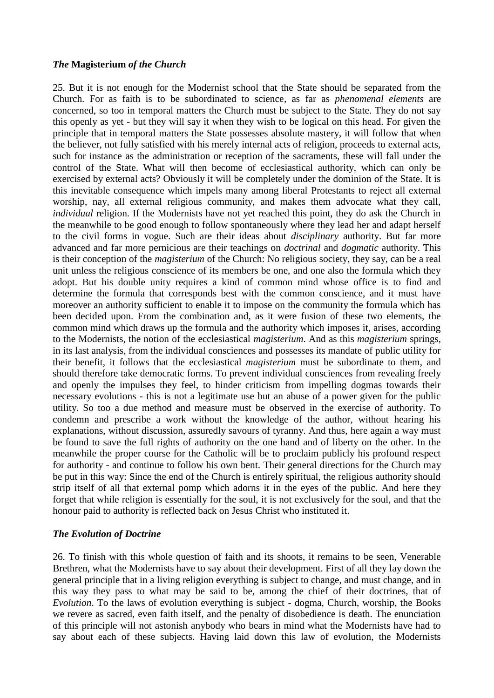#### *The* **Magisterium** *of the Church*

25. But it is not enough for the Modernist school that the State should be separated from the Church. For as faith is to be subordinated to science, as far as *phenomenal elements* are concerned, so too in temporal matters the Church must be subject to the State. They do not say this openly as yet - but they will say it when they wish to be logical on this head. For given the principle that in temporal matters the State possesses absolute mastery, it will follow that when the believer, not fully satisfied with his merely internal acts of religion, proceeds to external acts, such for instance as the administration or reception of the sacraments, these will fall under the control of the State. What will then become of ecclesiastical authority, which can only be exercised by external acts? Obviously it will be completely under the dominion of the State. It is this inevitable consequence which impels many among liberal Protestants to reject all external worship, nay, all external religious community, and makes them advocate what they call, *individual* religion. If the Modernists have not yet reached this point, they do ask the Church in the meanwhile to be good enough to follow spontaneously where they lead her and adapt herself to the civil forms in vogue. Such are their ideas about *disciplinary* authority. But far more advanced and far more pernicious are their teachings on *doctrinal* and *dogmatic* authority. This is their conception of the *magisterium* of the Church: No religious society, they say, can be a real unit unless the religious conscience of its members be one, and one also the formula which they adopt. But his double unity requires a kind of common mind whose office is to find and determine the formula that corresponds best with the common conscience, and it must have moreover an authority sufficient to enable it to impose on the community the formula which has been decided upon. From the combination and, as it were fusion of these two elements, the common mind which draws up the formula and the authority which imposes it, arises, according to the Modernists, the notion of the ecclesiastical *magisterium*. And as this *magisterium* springs, in its last analysis, from the individual consciences and possesses its mandate of public utility for their benefit, it follows that the ecclesiastical *magisterium* must be subordinate to them, and should therefore take democratic forms. To prevent individual consciences from revealing freely and openly the impulses they feel, to hinder criticism from impelling dogmas towards their necessary evolutions - this is not a legitimate use but an abuse of a power given for the public utility. So too a due method and measure must be observed in the exercise of authority. To condemn and prescribe a work without the knowledge of the author, without hearing his explanations, without discussion, assuredly savours of tyranny. And thus, here again a way must be found to save the full rights of authority on the one hand and of liberty on the other. In the meanwhile the proper course for the Catholic will be to proclaim publicly his profound respect for authority - and continue to follow his own bent. Their general directions for the Church may be put in this way: Since the end of the Church is entirely spiritual, the religious authority should strip itself of all that external pomp which adorns it in the eyes of the public. And here they forget that while religion is essentially for the soul, it is not exclusively for the soul, and that the honour paid to authority is reflected back on Jesus Christ who instituted it.

## *The Evolution of Doctrine*

26. To finish with this whole question of faith and its shoots, it remains to be seen, Venerable Brethren, what the Modernists have to say about their development. First of all they lay down the general principle that in a living religion everything is subject to change, and must change, and in this way they pass to what may be said to be, among the chief of their doctrines, that of *Evolution*. To the laws of evolution everything is subject - dogma, Church, worship, the Books we revere as sacred, even faith itself, and the penalty of disobedience is death. The enunciation of this principle will not astonish anybody who bears in mind what the Modernists have had to say about each of these subjects. Having laid down this law of evolution, the Modernists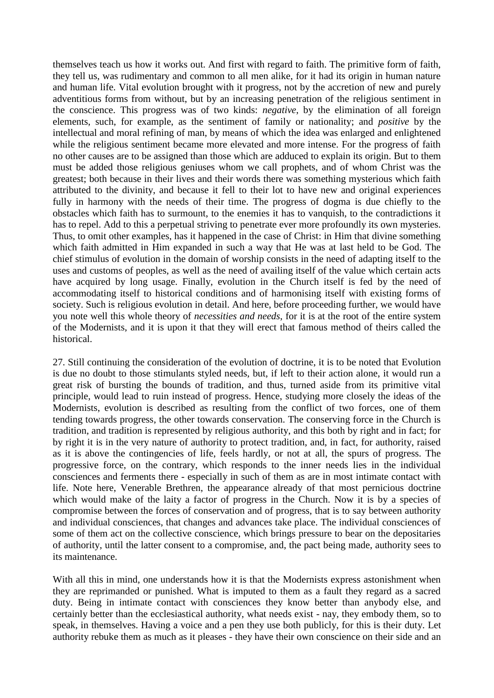themselves teach us how it works out. And first with regard to faith. The primitive form of faith, they tell us, was rudimentary and common to all men alike, for it had its origin in human nature and human life. Vital evolution brought with it progress, not by the accretion of new and purely adventitious forms from without, but by an increasing penetration of the religious sentiment in the conscience. This progress was of two kinds: *negative*, by the elimination of all foreign elements, such, for example, as the sentiment of family or nationality; and *positive* by the intellectual and moral refining of man, by means of which the idea was enlarged and enlightened while the religious sentiment became more elevated and more intense. For the progress of faith no other causes are to be assigned than those which are adduced to explain its origin. But to them must be added those religious geniuses whom we call prophets, and of whom Christ was the greatest; both because in their lives and their words there was something mysterious which faith attributed to the divinity, and because it fell to their lot to have new and original experiences fully in harmony with the needs of their time. The progress of dogma is due chiefly to the obstacles which faith has to surmount, to the enemies it has to vanquish, to the contradictions it has to repel. Add to this a perpetual striving to penetrate ever more profoundly its own mysteries. Thus, to omit other examples, has it happened in the case of Christ: in Him that divine something which faith admitted in Him expanded in such a way that He was at last held to be God. The chief stimulus of evolution in the domain of worship consists in the need of adapting itself to the uses and customs of peoples, as well as the need of availing itself of the value which certain acts have acquired by long usage. Finally, evolution in the Church itself is fed by the need of accommodating itself to historical conditions and of harmonising itself with existing forms of society. Such is religious evolution in detail. And here, before proceeding further, we would have you note well this whole theory of *necessities and needs*, for it is at the root of the entire system of the Modernists, and it is upon it that they will erect that famous method of theirs called the historical.

27. Still continuing the consideration of the evolution of doctrine, it is to be noted that Evolution is due no doubt to those stimulants styled needs, but, if left to their action alone, it would run a great risk of bursting the bounds of tradition, and thus, turned aside from its primitive vital principle, would lead to ruin instead of progress. Hence, studying more closely the ideas of the Modernists, evolution is described as resulting from the conflict of two forces, one of them tending towards progress, the other towards conservation. The conserving force in the Church is tradition, and tradition is represented by religious authority, and this both by right and in fact; for by right it is in the very nature of authority to protect tradition, and, in fact, for authority, raised as it is above the contingencies of life, feels hardly, or not at all, the spurs of progress. The progressive force, on the contrary, which responds to the inner needs lies in the individual consciences and ferments there - especially in such of them as are in most intimate contact with life. Note here, Venerable Brethren, the appearance already of that most pernicious doctrine which would make of the laity a factor of progress in the Church. Now it is by a species of compromise between the forces of conservation and of progress, that is to say between authority and individual consciences, that changes and advances take place. The individual consciences of some of them act on the collective conscience, which brings pressure to bear on the depositaries of authority, until the latter consent to a compromise, and, the pact being made, authority sees to its maintenance.

With all this in mind, one understands how it is that the Modernists express astonishment when they are reprimanded or punished. What is imputed to them as a fault they regard as a sacred duty. Being in intimate contact with consciences they know better than anybody else, and certainly better than the ecclesiastical authority, what needs exist - nay, they embody them, so to speak, in themselves. Having a voice and a pen they use both publicly, for this is their duty. Let authority rebuke them as much as it pleases - they have their own conscience on their side and an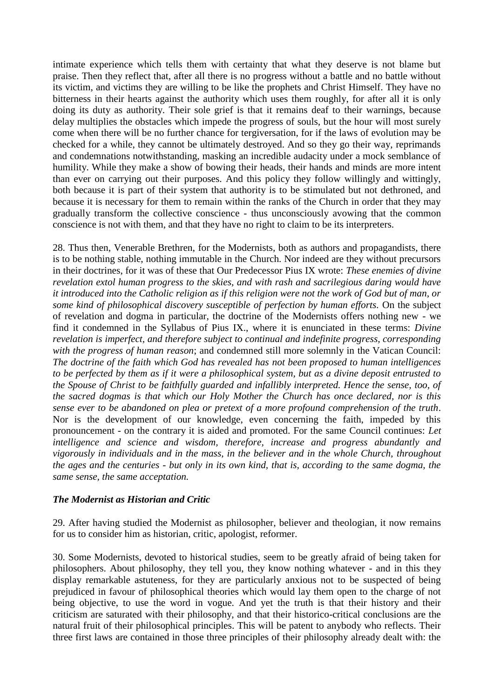intimate experience which tells them with certainty that what they deserve is not blame but praise. Then they reflect that, after all there is no progress without a battle and no battle without its victim, and victims they are willing to be like the prophets and Christ Himself. They have no bitterness in their hearts against the authority which uses them roughly, for after all it is only doing its duty as authority. Their sole grief is that it remains deaf to their warnings, because delay multiplies the obstacles which impede the progress of souls, but the hour will most surely come when there will be no further chance for tergiversation, for if the laws of evolution may be checked for a while, they cannot be ultimately destroyed. And so they go their way, reprimands and condemnations notwithstanding, masking an incredible audacity under a mock semblance of humility. While they make a show of bowing their heads, their hands and minds are more intent than ever on carrying out their purposes. And this policy they follow willingly and wittingly, both because it is part of their system that authority is to be stimulated but not dethroned, and because it is necessary for them to remain within the ranks of the Church in order that they may gradually transform the collective conscience - thus unconsciously avowing that the common conscience is not with them, and that they have no right to claim to be its interpreters.

28. Thus then, Venerable Brethren, for the Modernists, both as authors and propagandists, there is to be nothing stable, nothing immutable in the Church. Nor indeed are they without precursors in their doctrines, for it was of these that Our Predecessor Pius IX wrote: *These enemies of divine revelation extol human progress to the skies, and with rash and sacrilegious daring would have it introduced into the Catholic religion as if this religion were not the work of God but of man, or some kind of philosophical discovery susceptible of perfection by human efforts.* On the subject of revelation and dogma in particular, the doctrine of the Modernists offers nothing new - we find it condemned in the Syllabus of Pius IX., where it is enunciated in these terms: *Divine revelation is imperfect, and therefore subject to continual and indefinite progress, corresponding with the progress of human reason*; and condemned still more solemnly in the Vatican Council: *The doctrine of the faith which God has revealed has not been proposed to human intelligences to be perfected by them as if it were a philosophical system, but as a divine deposit entrusted to the Spouse of Christ to be faithfully guarded and infallibly interpreted. Hence the sense, too, of the sacred dogmas is that which our Holy Mother the Church has once declared, nor is this sense ever to be abandoned on plea or pretext of a more profound comprehension of the truth*. Nor is the development of our knowledge, even concerning the faith, impeded by this pronouncement - on the contrary it is aided and promoted. For the same Council continues: *Let intelligence and science and wisdom, therefore, increase and progress abundantly and vigorously in individuals and in the mass, in the believer and in the whole Church, throughout the ages and the centuries - but only in its own kind, that is, according to the same dogma, the same sense, the same acceptation.*

## *The Modernist as Historian and Critic*

29. After having studied the Modernist as philosopher, believer and theologian, it now remains for us to consider him as historian, critic, apologist, reformer.

30. Some Modernists, devoted to historical studies, seem to be greatly afraid of being taken for philosophers. About philosophy, they tell you, they know nothing whatever - and in this they display remarkable astuteness, for they are particularly anxious not to be suspected of being prejudiced in favour of philosophical theories which would lay them open to the charge of not being objective, to use the word in vogue. And yet the truth is that their history and their criticism are saturated with their philosophy, and that their historico-critical conclusions are the natural fruit of their philosophical principles. This will be patent to anybody who reflects. Their three first laws are contained in those three principles of their philosophy already dealt with: the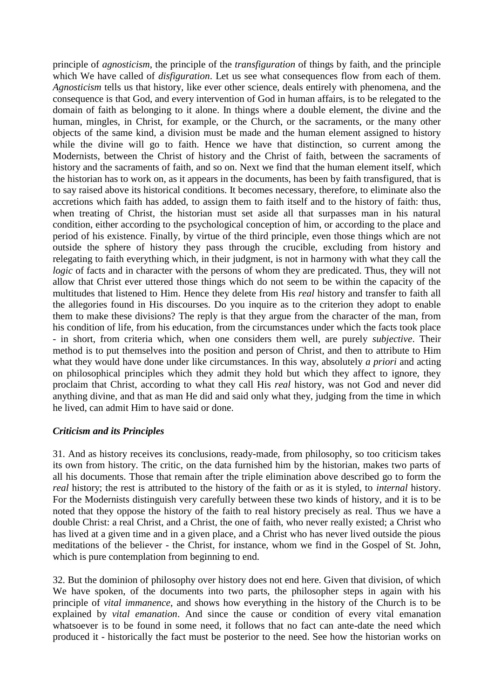principle of *agnosticism*, the principle of the *transfiguration* of things by faith, and the principle which We have called of *disfiguration*. Let us see what consequences flow from each of them. *Agnosticism* tells us that history, like ever other science, deals entirely with phenomena, and the consequence is that God, and every intervention of God in human affairs, is to be relegated to the domain of faith as belonging to it alone. In things where a double element, the divine and the human, mingles, in Christ, for example, or the Church, or the sacraments, or the many other objects of the same kind, a division must be made and the human element assigned to history while the divine will go to faith. Hence we have that distinction, so current among the Modernists, between the Christ of history and the Christ of faith, between the sacraments of history and the sacraments of faith, and so on. Next we find that the human element itself, which the historian has to work on, as it appears in the documents, has been by faith transfigured, that is to say raised above its historical conditions. It becomes necessary, therefore, to eliminate also the accretions which faith has added, to assign them to faith itself and to the history of faith: thus, when treating of Christ, the historian must set aside all that surpasses man in his natural condition, either according to the psychological conception of him, or according to the place and period of his existence. Finally, by virtue of the third principle, even those things which are not outside the sphere of history they pass through the crucible, excluding from history and relegating to faith everything which, in their judgment, is not in harmony with what they call the *logic* of facts and in character with the persons of whom they are predicated. Thus, they will not allow that Christ ever uttered those things which do not seem to be within the capacity of the multitudes that listened to Him. Hence they delete from His *real* history and transfer to faith all the allegories found in His discourses. Do you inquire as to the criterion they adopt to enable them to make these divisions? The reply is that they argue from the character of the man, from his condition of life, from his education, from the circumstances under which the facts took place - in short, from criteria which, when one considers them well, are purely *subjective*. Their method is to put themselves into the position and person of Christ, and then to attribute to Him what they would have done under like circumstances. In this way, absolutely *a priori* and acting on philosophical principles which they admit they hold but which they affect to ignore, they proclaim that Christ, according to what they call His *real* history, was not God and never did anything divine, and that as man He did and said only what they, judging from the time in which he lived, can admit Him to have said or done.

#### *Criticism and its Principles*

31. And as history receives its conclusions, ready-made, from philosophy, so too criticism takes its own from history. The critic, on the data furnished him by the historian, makes two parts of all his documents. Those that remain after the triple elimination above described go to form the *real* history; the rest is attributed to the history of the faith or as it is styled, to *internal* history. For the Modernists distinguish very carefully between these two kinds of history, and it is to be noted that they oppose the history of the faith to real history precisely as real. Thus we have a double Christ: a real Christ, and a Christ, the one of faith, who never really existed; a Christ who has lived at a given time and in a given place, and a Christ who has never lived outside the pious meditations of the believer - the Christ, for instance, whom we find in the Gospel of St. John, which is pure contemplation from beginning to end.

32. But the dominion of philosophy over history does not end here. Given that division, of which We have spoken, of the documents into two parts, the philosopher steps in again with his principle of *vital immanence*, and shows how everything in the history of the Church is to be explained by *vital emanation*. And since the cause or condition of every vital emanation whatsoever is to be found in some need, it follows that no fact can ante-date the need which produced it - historically the fact must be posterior to the need. See how the historian works on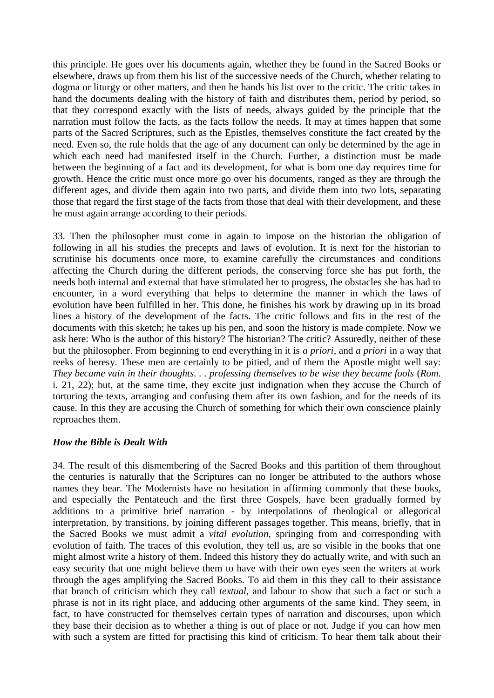this principle. He goes over his documents again, whether they be found in the Sacred Books or elsewhere, draws up from them his list of the successive needs of the Church, whether relating to dogma or liturgy or other matters, and then he hands his list over to the critic. The critic takes in hand the documents dealing with the history of faith and distributes them, period by period, so that they correspond exactly with the lists of needs, always guided by the principle that the narration must follow the facts, as the facts follow the needs. It may at times happen that some parts of the Sacred Scriptures, such as the Epistles, themselves constitute the fact created by the need. Even so, the rule holds that the age of any document can only be determined by the age in which each need had manifested itself in the Church. Further, a distinction must be made between the beginning of a fact and its development, for what is born one day requires time for growth. Hence the critic must once more go over his documents, ranged as they are through the different ages, and divide them again into two parts, and divide them into two lots, separating those that regard the first stage of the facts from those that deal with their development, and these he must again arrange according to their periods.

33. Then the philosopher must come in again to impose on the historian the obligation of following in all his studies the precepts and laws of evolution. It is next for the historian to scrutinise his documents once more, to examine carefully the circumstances and conditions affecting the Church during the different periods, the conserving force she has put forth, the needs both internal and external that have stimulated her to progress, the obstacles she has had to encounter, in a word everything that helps to determine the manner in which the laws of evolution have been fulfilled in her. This done, he finishes his work by drawing up in its broad lines a history of the development of the facts. The critic follows and fits in the rest of the documents with this sketch; he takes up his pen, and soon the history is made complete. Now we ask here: Who is the author of this history? The historian? The critic? Assuredly, neither of these but the philosopher. From beginning to end everything in it is *a priori*, and *a priori* in a way that reeks of heresy. These men are certainly to be pitied, and of them the Apostle might well say: *They became vain in their thoughts. . . professing themselves to be wise they became fools* (*Rom*. i. 21, 22); but, at the same time, they excite just indignation when they accuse the Church of torturing the texts, arranging and confusing them after its own fashion, and for the needs of its cause. In this they are accusing the Church of something for which their own conscience plainly reproaches them.

#### *How the Bible is Dealt With*

34. The result of this dismembering of the Sacred Books and this partition of them throughout the centuries is naturally that the Scriptures can no longer be attributed to the authors whose names they bear. The Modernists have no hesitation in affirming commonly that these books, and especially the Pentateuch and the first three Gospels, have been gradually formed by additions to a primitive brief narration - by interpolations of theological or allegorical interpretation, by transitions, by joining different passages together. This means, briefly, that in the Sacred Books we must admit a *vital evolution*, springing from and corresponding with evolution of faith. The traces of this evolution, they tell us, are so visible in the books that one might almost write a history of them. Indeed this history they do actually write, and with such an easy security that one might believe them to have with their own eyes seen the writers at work through the ages amplifying the Sacred Books. To aid them in this they call to their assistance that branch of criticism which they call *textual*, and labour to show that such a fact or such a phrase is not in its right place, and adducing other arguments of the same kind. They seem, in fact, to have constructed for themselves certain types of narration and discourses, upon which they base their decision as to whether a thing is out of place or not. Judge if you can how men with such a system are fitted for practising this kind of criticism. To hear them talk about their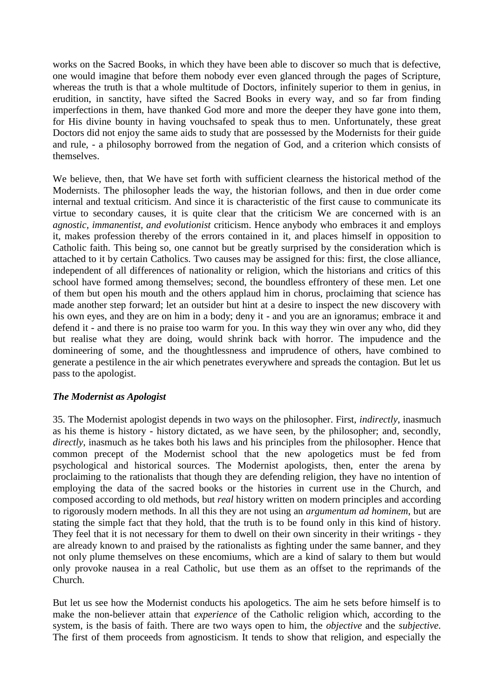works on the Sacred Books, in which they have been able to discover so much that is defective, one would imagine that before them nobody ever even glanced through the pages of Scripture, whereas the truth is that a whole multitude of Doctors, infinitely superior to them in genius, in erudition, in sanctity, have sifted the Sacred Books in every way, and so far from finding imperfections in them, have thanked God more and more the deeper they have gone into them, for His divine bounty in having vouchsafed to speak thus to men. Unfortunately, these great Doctors did not enjoy the same aids to study that are possessed by the Modernists for their guide and rule, - a philosophy borrowed from the negation of God, and a criterion which consists of themselves.

We believe, then, that We have set forth with sufficient clearness the historical method of the Modernists. The philosopher leads the way, the historian follows, and then in due order come internal and textual criticism. And since it is characteristic of the first cause to communicate its virtue to secondary causes, it is quite clear that the criticism We are concerned with is an *agnostic, immanentist, and evolutionist* criticism. Hence anybody who embraces it and employs it, makes profession thereby of the errors contained in it, and places himself in opposition to Catholic faith. This being so, one cannot but be greatly surprised by the consideration which is attached to it by certain Catholics. Two causes may be assigned for this: first, the close alliance, independent of all differences of nationality or religion, which the historians and critics of this school have formed among themselves; second, the boundless effrontery of these men. Let one of them but open his mouth and the others applaud him in chorus, proclaiming that science has made another step forward; let an outsider but hint at a desire to inspect the new discovery with his own eyes, and they are on him in a body; deny it - and you are an ignoramus; embrace it and defend it - and there is no praise too warm for you. In this way they win over any who, did they but realise what they are doing, would shrink back with horror. The impudence and the domineering of some, and the thoughtlessness and imprudence of others, have combined to generate a pestilence in the air which penetrates everywhere and spreads the contagion. But let us pass to the apologist.

## *The Modernist as Apologist*

35. The Modernist apologist depends in two ways on the philosopher. First, *indirectly*, inasmuch as his theme is history - history dictated, as we have seen, by the philosopher; and, secondly, *directly*, inasmuch as he takes both his laws and his principles from the philosopher. Hence that common precept of the Modernist school that the new apologetics must be fed from psychological and historical sources. The Modernist apologists, then, enter the arena by proclaiming to the rationalists that though they are defending religion, they have no intention of employing the data of the sacred books or the histories in current use in the Church, and composed according to old methods, but *real* history written on modern principles and according to rigorously modern methods. In all this they are not using an *argumentum ad hominem*, but are stating the simple fact that they hold, that the truth is to be found only in this kind of history. They feel that it is not necessary for them to dwell on their own sincerity in their writings - they are already known to and praised by the rationalists as fighting under the same banner, and they not only plume themselves on these encomiums, which are a kind of salary to them but would only provoke nausea in a real Catholic, but use them as an offset to the reprimands of the Church.

But let us see how the Modernist conducts his apologetics. The aim he sets before himself is to make the non-believer attain that *experience* of the Catholic religion which, according to the system, is the basis of faith. There are two ways open to him, the *objective* and the *subjective*. The first of them proceeds from agnosticism. It tends to show that religion, and especially the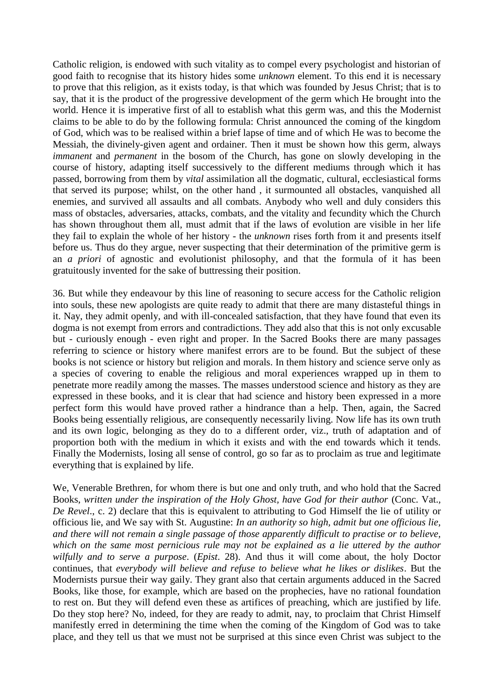Catholic religion, is endowed with such vitality as to compel every psychologist and historian of good faith to recognise that its history hides some *unknown* element. To this end it is necessary to prove that this religion, as it exists today, is that which was founded by Jesus Christ; that is to say, that it is the product of the progressive development of the germ which He brought into the world. Hence it is imperative first of all to establish what this germ was, and this the Modernist claims to be able to do by the following formula: Christ announced the coming of the kingdom of God, which was to be realised within a brief lapse of time and of which He was to become the Messiah, the divinely-given agent and ordainer. Then it must be shown how this germ, always *immanent* and *permanent* in the bosom of the Church, has gone on slowly developing in the course of history, adapting itself successively to the different mediums through which it has passed, borrowing from them by *vital* assimilation all the dogmatic, cultural, ecclesiastical forms that served its purpose; whilst, on the other hand , it surmounted all obstacles, vanquished all enemies, and survived all assaults and all combats. Anybody who well and duly considers this mass of obstacles, adversaries, attacks, combats, and the vitality and fecundity which the Church has shown throughout them all, must admit that if the laws of evolution are visible in her life they fail to explain the whole of her history - the *unknown* rises forth from it and presents itself before us. Thus do they argue, never suspecting that their determination of the primitive germ is an *a priori* of agnostic and evolutionist philosophy, and that the formula of it has been gratuitously invented for the sake of buttressing their position.

36. But while they endeavour by this line of reasoning to secure access for the Catholic religion into souls, these new apologists are quite ready to admit that there are many distasteful things in it. Nay, they admit openly, and with ill-concealed satisfaction, that they have found that even its dogma is not exempt from errors and contradictions. They add also that this is not only excusable but - curiously enough - even right and proper. In the Sacred Books there are many passages referring to science or history where manifest errors are to be found. But the subject of these books is not science or history but religion and morals. In them history and science serve only as a species of covering to enable the religious and moral experiences wrapped up in them to penetrate more readily among the masses. The masses understood science and history as they are expressed in these books, and it is clear that had science and history been expressed in a more perfect form this would have proved rather a hindrance than a help. Then, again, the Sacred Books being essentially religious, are consequently necessarily living. Now life has its own truth and its own logic, belonging as they do to a different order, viz., truth of adaptation and of proportion both with the medium in which it exists and with the end towards which it tends. Finally the Modernists, losing all sense of control, go so far as to proclaim as true and legitimate everything that is explained by life.

We, Venerable Brethren, for whom there is but one and only truth, and who hold that the Sacred Books, written under the inspiration of the Holy Ghost, have God for their author (Conc. Vat., *De Revel*., c. 2) declare that this is equivalent to attributing to God Himself the lie of utility or officious lie, and We say with St. Augustine: *In an authority so high, admit but one officious lie, and there will not remain a single passage of those apparently difficult to practise or to believe,*  which on the same most pernicious rule may not be explained as a lie uttered by the author *wilfully and to serve a purpose*. (*Epist*. 28). And thus it will come about, the holy Doctor continues, that *everybody will believe and refuse to believe what he likes or dislikes*. But the Modernists pursue their way gaily. They grant also that certain arguments adduced in the Sacred Books, like those, for example, which are based on the prophecies, have no rational foundation to rest on. But they will defend even these as artifices of preaching, which are justified by life. Do they stop here? No, indeed, for they are ready to admit, nay, to proclaim that Christ Himself manifestly erred in determining the time when the coming of the Kingdom of God was to take place, and they tell us that we must not be surprised at this since even Christ was subject to the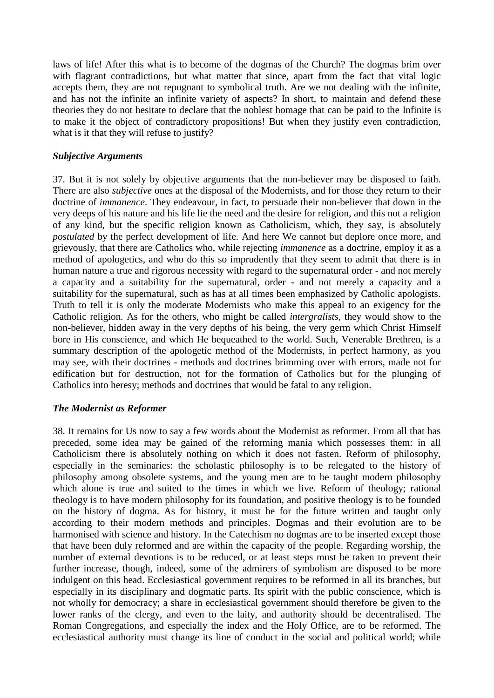laws of life! After this what is to become of the dogmas of the Church? The dogmas brim over with flagrant contradictions, but what matter that since, apart from the fact that vital logic accepts them, they are not repugnant to symbolical truth. Are we not dealing with the infinite, and has not the infinite an infinite variety of aspects? In short, to maintain and defend these theories they do not hesitate to declare that the noblest homage that can be paid to the Infinite is to make it the object of contradictory propositions! But when they justify even contradiction, what is it that they will refuse to justify?

#### *Subjective Arguments*

37. But it is not solely by objective arguments that the non-believer may be disposed to faith. There are also *subjective* ones at the disposal of the Modernists, and for those they return to their doctrine of *immanence*. They endeavour, in fact, to persuade their non-believer that down in the very deeps of his nature and his life lie the need and the desire for religion, and this not a religion of any kind, but the specific religion known as Catholicism, which, they say, is absolutely *postulated* by the perfect development of life. And here We cannot but deplore once more, and grievously, that there are Catholics who, while rejecting *immanence* as a doctrine, employ it as a method of apologetics, and who do this so imprudently that they seem to admit that there is in human nature a true and rigorous necessity with regard to the supernatural order - and not merely a capacity and a suitability for the supernatural, order - and not merely a capacity and a suitability for the supernatural, such as has at all times been emphasized by Catholic apologists. Truth to tell it is only the moderate Modernists who make this appeal to an exigency for the Catholic religion. As for the others, who might be called *intergralists*, they would show to the non-believer, hidden away in the very depths of his being, the very germ which Christ Himself bore in His conscience, and which He bequeathed to the world. Such, Venerable Brethren, is a summary description of the apologetic method of the Modernists, in perfect harmony, as you may see, with their doctrines - methods and doctrines brimming over with errors, made not for edification but for destruction, not for the formation of Catholics but for the plunging of Catholics into heresy; methods and doctrines that would be fatal to any religion.

#### *The Modernist as Reformer*

38. It remains for Us now to say a few words about the Modernist as reformer. From all that has preceded, some idea may be gained of the reforming mania which possesses them: in all Catholicism there is absolutely nothing on which it does not fasten. Reform of philosophy, especially in the seminaries: the scholastic philosophy is to be relegated to the history of philosophy among obsolete systems, and the young men are to be taught modern philosophy which alone is true and suited to the times in which we live. Reform of theology; rational theology is to have modern philosophy for its foundation, and positive theology is to be founded on the history of dogma. As for history, it must be for the future written and taught only according to their modern methods and principles. Dogmas and their evolution are to be harmonised with science and history. In the Catechism no dogmas are to be inserted except those that have been duly reformed and are within the capacity of the people. Regarding worship, the number of external devotions is to be reduced, or at least steps must be taken to prevent their further increase, though, indeed, some of the admirers of symbolism are disposed to be more indulgent on this head. Ecclesiastical government requires to be reformed in all its branches, but especially in its disciplinary and dogmatic parts. Its spirit with the public conscience, which is not wholly for democracy; a share in ecclesiastical government should therefore be given to the lower ranks of the clergy, and even to the laity, and authority should be decentralised. The Roman Congregations, and especially the index and the Holy Office, are to be reformed. The ecclesiastical authority must change its line of conduct in the social and political world; while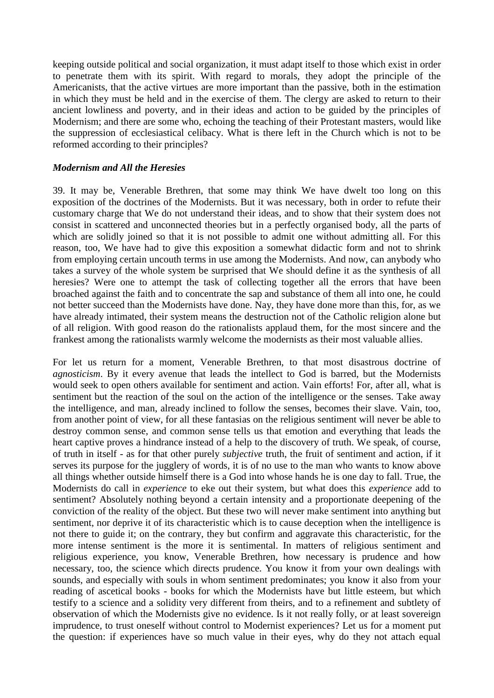keeping outside political and social organization, it must adapt itself to those which exist in order to penetrate them with its spirit. With regard to morals, they adopt the principle of the Americanists, that the active virtues are more important than the passive, both in the estimation in which they must be held and in the exercise of them. The clergy are asked to return to their ancient lowliness and poverty, and in their ideas and action to be guided by the principles of Modernism; and there are some who, echoing the teaching of their Protestant masters, would like the suppression of ecclesiastical celibacy. What is there left in the Church which is not to be reformed according to their principles?

#### *Modernism and All the Heresies*

39. It may be, Venerable Brethren, that some may think We have dwelt too long on this exposition of the doctrines of the Modernists. But it was necessary, both in order to refute their customary charge that We do not understand their ideas, and to show that their system does not consist in scattered and unconnected theories but in a perfectly organised body, all the parts of which are solidly joined so that it is not possible to admit one without admitting all. For this reason, too, We have had to give this exposition a somewhat didactic form and not to shrink from employing certain uncouth terms in use among the Modernists. And now, can anybody who takes a survey of the whole system be surprised that We should define it as the synthesis of all heresies? Were one to attempt the task of collecting together all the errors that have been broached against the faith and to concentrate the sap and substance of them all into one, he could not better succeed than the Modernists have done. Nay, they have done more than this, for, as we have already intimated, their system means the destruction not of the Catholic religion alone but of all religion. With good reason do the rationalists applaud them, for the most sincere and the frankest among the rationalists warmly welcome the modernists as their most valuable allies.

For let us return for a moment, Venerable Brethren, to that most disastrous doctrine of *agnosticism*. By it every avenue that leads the intellect to God is barred, but the Modernists would seek to open others available for sentiment and action. Vain efforts! For, after all, what is sentiment but the reaction of the soul on the action of the intelligence or the senses. Take away the intelligence, and man, already inclined to follow the senses, becomes their slave. Vain, too, from another point of view, for all these fantasias on the religious sentiment will never be able to destroy common sense, and common sense tells us that emotion and everything that leads the heart captive proves a hindrance instead of a help to the discovery of truth. We speak, of course, of truth in itself - as for that other purely *subjective* truth, the fruit of sentiment and action, if it serves its purpose for the jugglery of words, it is of no use to the man who wants to know above all things whether outside himself there is a God into whose hands he is one day to fall. True, the Modernists do call in *experience* to eke out their system, but what does this *experience* add to sentiment? Absolutely nothing beyond a certain intensity and a proportionate deepening of the conviction of the reality of the object. But these two will never make sentiment into anything but sentiment, nor deprive it of its characteristic which is to cause deception when the intelligence is not there to guide it; on the contrary, they but confirm and aggravate this characteristic, for the more intense sentiment is the more it is sentimental. In matters of religious sentiment and religious experience, you know, Venerable Brethren, how necessary is prudence and how necessary, too, the science which directs prudence. You know it from your own dealings with sounds, and especially with souls in whom sentiment predominates; you know it also from your reading of ascetical books - books for which the Modernists have but little esteem, but which testify to a science and a solidity very different from theirs, and to a refinement and subtlety of observation of which the Modernists give no evidence. Is it not really folly, or at least sovereign imprudence, to trust oneself without control to Modernist experiences? Let us for a moment put the question: if experiences have so much value in their eyes, why do they not attach equal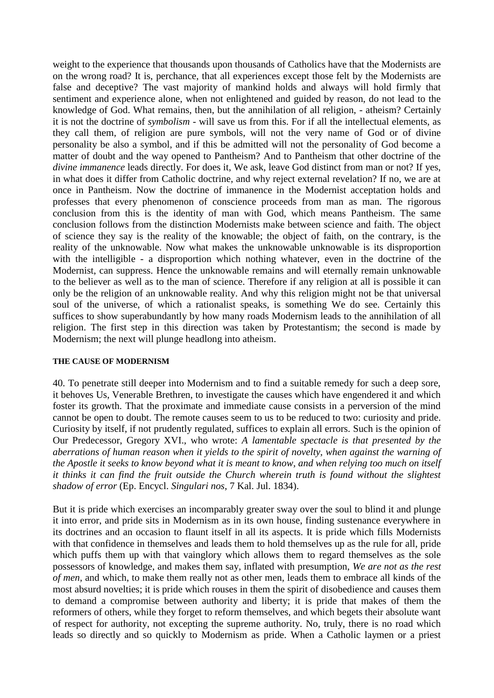weight to the experience that thousands upon thousands of Catholics have that the Modernists are on the wrong road? It is, perchance, that all experiences except those felt by the Modernists are false and deceptive? The vast majority of mankind holds and always will hold firmly that sentiment and experience alone, when not enlightened and guided by reason, do not lead to the knowledge of God. What remains, then, but the annihilation of all religion, - atheism? Certainly it is not the doctrine of *symbolism* - will save us from this. For if all the intellectual elements, as they call them, of religion are pure symbols, will not the very name of God or of divine personality be also a symbol, and if this be admitted will not the personality of God become a matter of doubt and the way opened to Pantheism? And to Pantheism that other doctrine of the *divine immanence* leads directly. For does it, We ask, leave God distinct from man or not? If yes, in what does it differ from Catholic doctrine, and why reject external revelation? If no, we are at once in Pantheism. Now the doctrine of immanence in the Modernist acceptation holds and professes that every phenomenon of conscience proceeds from man as man. The rigorous conclusion from this is the identity of man with God, which means Pantheism. The same conclusion follows from the distinction Modernists make between science and faith. The object of science they say is the reality of the knowable; the object of faith, on the contrary, is the reality of the unknowable. Now what makes the unknowable unknowable is its disproportion with the intelligible - a disproportion which nothing whatever, even in the doctrine of the Modernist, can suppress. Hence the unknowable remains and will eternally remain unknowable to the believer as well as to the man of science. Therefore if any religion at all is possible it can only be the religion of an unknowable reality. And why this religion might not be that universal soul of the universe, of which a rationalist speaks, is something We do see. Certainly this suffices to show superabundantly by how many roads Modernism leads to the annihilation of all religion. The first step in this direction was taken by Protestantism; the second is made by Modernism; the next will plunge headlong into atheism.

#### **THE CAUSE OF MODERNISM**

40. To penetrate still deeper into Modernism and to find a suitable remedy for such a deep sore, it behoves Us, Venerable Brethren, to investigate the causes which have engendered it and which foster its growth. That the proximate and immediate cause consists in a perversion of the mind cannot be open to doubt. The remote causes seem to us to be reduced to two: curiosity and pride. Curiosity by itself, if not prudently regulated, suffices to explain all errors. Such is the opinion of Our Predecessor, Gregory XVI., who wrote: *A lamentable spectacle is that presented by the aberrations of human reason when it yields to the spirit of novelty, when against the warning of the Apostle it seeks to know beyond what it is meant to know, and when relying too much on itself it thinks it can find the fruit outside the Church wherein truth is found without the slightest shadow of error* (Ep. Encycl. *Singulari nos*, 7 Kal. Jul. 1834).

But it is pride which exercises an incomparably greater sway over the soul to blind it and plunge it into error, and pride sits in Modernism as in its own house, finding sustenance everywhere in its doctrines and an occasion to flaunt itself in all its aspects. It is pride which fills Modernists with that confidence in themselves and leads them to hold themselves up as the rule for all, pride which puffs them up with that vainglory which allows them to regard themselves as the sole possessors of knowledge, and makes them say, inflated with presumption, *We are not as the rest of men*, and which, to make them really not as other men, leads them to embrace all kinds of the most absurd novelties; it is pride which rouses in them the spirit of disobedience and causes them to demand a compromise between authority and liberty; it is pride that makes of them the reformers of others, while they forget to reform themselves, and which begets their absolute want of respect for authority, not excepting the supreme authority. No, truly, there is no road which leads so directly and so quickly to Modernism as pride. When a Catholic laymen or a priest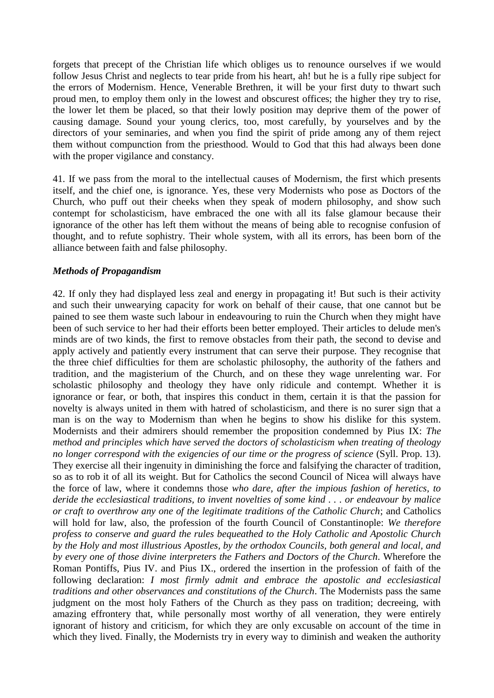forgets that precept of the Christian life which obliges us to renounce ourselves if we would follow Jesus Christ and neglects to tear pride from his heart, ah! but he is a fully ripe subject for the errors of Modernism. Hence, Venerable Brethren, it will be your first duty to thwart such proud men, to employ them only in the lowest and obscurest offices; the higher they try to rise, the lower let them be placed, so that their lowly position may deprive them of the power of causing damage. Sound your young clerics, too, most carefully, by yourselves and by the directors of your seminaries, and when you find the spirit of pride among any of them reject them without compunction from the priesthood. Would to God that this had always been done with the proper vigilance and constancy.

41. If we pass from the moral to the intellectual causes of Modernism, the first which presents itself, and the chief one, is ignorance. Yes, these very Modernists who pose as Doctors of the Church, who puff out their cheeks when they speak of modern philosophy, and show such contempt for scholasticism, have embraced the one with all its false glamour because their ignorance of the other has left them without the means of being able to recognise confusion of thought, and to refute sophistry. Their whole system, with all its errors, has been born of the alliance between faith and false philosophy.

#### *Methods of Propagandism*

42. If only they had displayed less zeal and energy in propagating it! But such is their activity and such their unwearying capacity for work on behalf of their cause, that one cannot but be pained to see them waste such labour in endeavouring to ruin the Church when they might have been of such service to her had their efforts been better employed. Their articles to delude men's minds are of two kinds, the first to remove obstacles from their path, the second to devise and apply actively and patiently every instrument that can serve their purpose. They recognise that the three chief difficulties for them are scholastic philosophy, the authority of the fathers and tradition, and the magisterium of the Church, and on these they wage unrelenting war. For scholastic philosophy and theology they have only ridicule and contempt. Whether it is ignorance or fear, or both, that inspires this conduct in them, certain it is that the passion for novelty is always united in them with hatred of scholasticism, and there is no surer sign that a man is on the way to Modernism than when he begins to show his dislike for this system. Modernists and their admirers should remember the proposition condemned by Pius IX: *The method and principles which have served the doctors of scholasticism when treating of theology no longer correspond with the exigencies of our time or the progress of science* (Syll. Prop. 13). They exercise all their ingenuity in diminishing the force and falsifying the character of tradition, so as to rob it of all its weight. But for Catholics the second Council of Nicea will always have the force of law, where it condemns those *who dare, after the impious fashion of heretics, to deride the ecclesiastical traditions, to invent novelties of some kind . . . or endeavour by malice or craft to overthrow any one of the legitimate traditions of the Catholic Church*; and Catholics will hold for law, also, the profession of the fourth Council of Constantinople: *We therefore profess to conserve and guard the rules bequeathed to the Holy Catholic and Apostolic Church by the Holy and most illustrious Apostles, by the orthodox Councils, both general and local, and by every one of those divine interpreters the Fathers and Doctors of the Church*. Wherefore the Roman Pontiffs, Pius IV. and Pius IX., ordered the insertion in the profession of faith of the following declaration: *I most firmly admit and embrace the apostolic and ecclesiastical traditions and other observances and constitutions of the Church*. The Modernists pass the same judgment on the most holy Fathers of the Church as they pass on tradition; decreeing, with amazing effrontery that, while personally most worthy of all veneration, they were entirely ignorant of history and criticism, for which they are only excusable on account of the time in which they lived. Finally, the Modernists try in every way to diminish and weaken the authority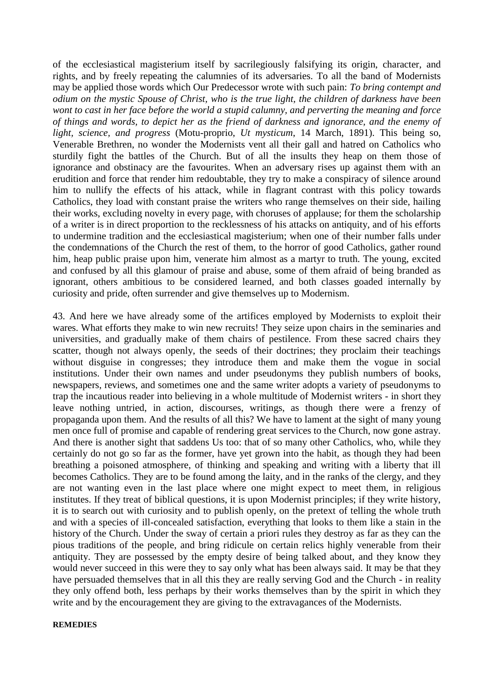of the ecclesiastical magisterium itself by sacrilegiously falsifying its origin, character, and rights, and by freely repeating the calumnies of its adversaries. To all the band of Modernists may be applied those words which Our Predecessor wrote with such pain: *To bring contempt and odium on the mystic Spouse of Christ, who is the true light, the children of darkness have been wont to cast in her face before the world a stupid calumny, and perverting the meaning and force of things and words, to depict her as the friend of darkness and ignorance, and the enemy of light, science, and progress* (Motu-proprio, *Ut mysticum*, 14 March, 1891). This being so, Venerable Brethren, no wonder the Modernists vent all their gall and hatred on Catholics who sturdily fight the battles of the Church. But of all the insults they heap on them those of ignorance and obstinacy are the favourites. When an adversary rises up against them with an erudition and force that render him redoubtable, they try to make a conspiracy of silence around him to nullify the effects of his attack, while in flagrant contrast with this policy towards Catholics, they load with constant praise the writers who range themselves on their side, hailing their works, excluding novelty in every page, with choruses of applause; for them the scholarship of a writer is in direct proportion to the recklessness of his attacks on antiquity, and of his efforts to undermine tradition and the ecclesiastical magisterium; when one of their number falls under the condemnations of the Church the rest of them, to the horror of good Catholics, gather round him, heap public praise upon him, venerate him almost as a martyr to truth. The young, excited and confused by all this glamour of praise and abuse, some of them afraid of being branded as ignorant, others ambitious to be considered learned, and both classes goaded internally by curiosity and pride, often surrender and give themselves up to Modernism.

43. And here we have already some of the artifices employed by Modernists to exploit their wares. What efforts they make to win new recruits! They seize upon chairs in the seminaries and universities, and gradually make of them chairs of pestilence. From these sacred chairs they scatter, though not always openly, the seeds of their doctrines; they proclaim their teachings without disguise in congresses; they introduce them and make them the vogue in social institutions. Under their own names and under pseudonyms they publish numbers of books, newspapers, reviews, and sometimes one and the same writer adopts a variety of pseudonyms to trap the incautious reader into believing in a whole multitude of Modernist writers - in short they leave nothing untried, in action, discourses, writings, as though there were a frenzy of propaganda upon them. And the results of all this? We have to lament at the sight of many young men once full of promise and capable of rendering great services to the Church, now gone astray. And there is another sight that saddens Us too: that of so many other Catholics, who, while they certainly do not go so far as the former, have yet grown into the habit, as though they had been breathing a poisoned atmosphere, of thinking and speaking and writing with a liberty that ill becomes Catholics. They are to be found among the laity, and in the ranks of the clergy, and they are not wanting even in the last place where one might expect to meet them, in religious institutes. If they treat of biblical questions, it is upon Modernist principles; if they write history, it is to search out with curiosity and to publish openly, on the pretext of telling the whole truth and with a species of ill-concealed satisfaction, everything that looks to them like a stain in the history of the Church. Under the sway of certain a priori rules they destroy as far as they can the pious traditions of the people, and bring ridicule on certain relics highly venerable from their antiquity. They are possessed by the empty desire of being talked about, and they know they would never succeed in this were they to say only what has been always said. It may be that they have persuaded themselves that in all this they are really serving God and the Church - in reality they only offend both, less perhaps by their works themselves than by the spirit in which they write and by the encouragement they are giving to the extravagances of the Modernists.

#### **REMEDIES**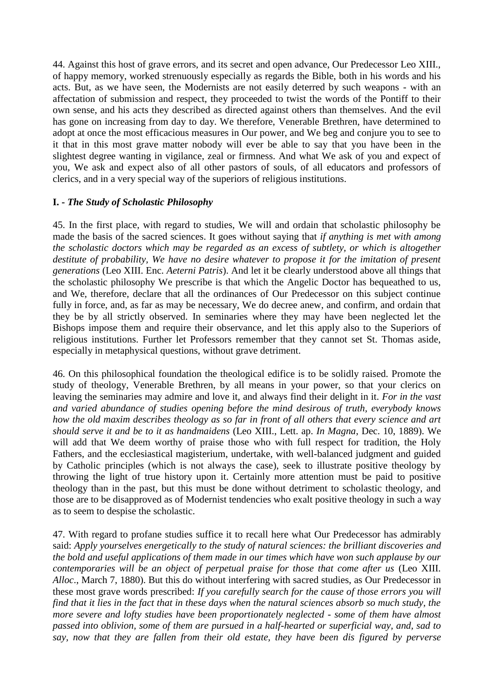44. Against this host of grave errors, and its secret and open advance, Our Predecessor Leo XIII., of happy memory, worked strenuously especially as regards the Bible, both in his words and his acts. But, as we have seen, the Modernists are not easily deterred by such weapons - with an affectation of submission and respect, they proceeded to twist the words of the Pontiff to their own sense, and his acts they described as directed against others than themselves. And the evil has gone on increasing from day to day. We therefore, Venerable Brethren, have determined to adopt at once the most efficacious measures in Our power, and We beg and conjure you to see to it that in this most grave matter nobody will ever be able to say that you have been in the slightest degree wanting in vigilance, zeal or firmness. And what We ask of you and expect of you, We ask and expect also of all other pastors of souls, of all educators and professors of clerics, and in a very special way of the superiors of religious institutions.

## **I. -** *The Study of Scholastic Philosophy*

45. In the first place, with regard to studies, We will and ordain that scholastic philosophy be made the basis of the sacred sciences. It goes without saying that *if anything is met with among the scholastic doctors which may be regarded as an excess of subtlety, or which is altogether*  destitute of probability, We have no desire whatever to propose it for the imitation of present *generations* (Leo XIII. Enc. *Aeterni Patris*). And let it be clearly understood above all things that the scholastic philosophy We prescribe is that which the Angelic Doctor has bequeathed to us, and We, therefore, declare that all the ordinances of Our Predecessor on this subject continue fully in force, and, as far as may be necessary, We do decree anew, and confirm, and ordain that they be by all strictly observed. In seminaries where they may have been neglected let the Bishops impose them and require their observance, and let this apply also to the Superiors of religious institutions. Further let Professors remember that they cannot set St. Thomas aside, especially in metaphysical questions, without grave detriment.

46. On this philosophical foundation the theological edifice is to be solidly raised. Promote the study of theology, Venerable Brethren, by all means in your power, so that your clerics on leaving the seminaries may admire and love it, and always find their delight in it. *For in the vast and varied abundance of studies opening before the mind desirous of truth, everybody knows how the old maxim describes theology as so far in front of all others that every science and art should serve it and be to it as handmaidens* (Leo XIII., Lett. ap. *In Magna*, Dec. 10, 1889). We will add that We deem worthy of praise those who with full respect for tradition, the Holy Fathers, and the ecclesiastical magisterium, undertake, with well-balanced judgment and guided by Catholic principles (which is not always the case), seek to illustrate positive theology by throwing the light of true history upon it. Certainly more attention must be paid to positive theology than in the past, but this must be done without detriment to scholastic theology, and those are to be disapproved as of Modernist tendencies who exalt positive theology in such a way as to seem to despise the scholastic.

47. With regard to profane studies suffice it to recall here what Our Predecessor has admirably said: *Apply yourselves energetically to the study of natural sciences: the brilliant discoveries and the bold and useful applications of them made in our times which have won such applause by our contemporaries will be an object of perpetual praise for those that come after us* (Leo XIII. *Alloc*., March 7, 1880). But this do without interfering with sacred studies, as Our Predecessor in these most grave words prescribed: *If you carefully search for the cause of those errors you will find that it lies in the fact that in these days when the natural sciences absorb so much study, the more severe and lofty studies have been proportionately neglected - some of them have almost passed into oblivion, some of them are pursued in a half-hearted or superficial way, and, sad to say, now that they are fallen from their old estate, they have been dis figured by perverse*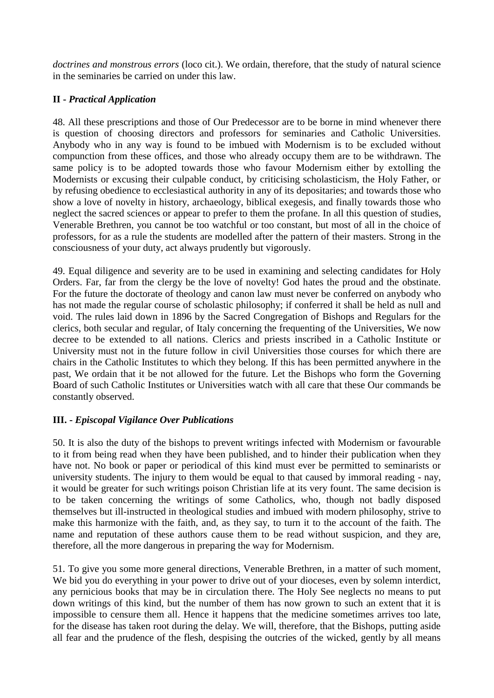*doctrines and monstrous errors* (loco cit.). We ordain, therefore, that the study of natural science in the seminaries be carried on under this law.

# **II -** *Practical Application*

48. All these prescriptions and those of Our Predecessor are to be borne in mind whenever there is question of choosing directors and professors for seminaries and Catholic Universities. Anybody who in any way is found to be imbued with Modernism is to be excluded without compunction from these offices, and those who already occupy them are to be withdrawn. The same policy is to be adopted towards those who favour Modernism either by extolling the Modernists or excusing their culpable conduct, by criticising scholasticism, the Holy Father, or by refusing obedience to ecclesiastical authority in any of its depositaries; and towards those who show a love of novelty in history, archaeology, biblical exegesis, and finally towards those who neglect the sacred sciences or appear to prefer to them the profane. In all this question of studies, Venerable Brethren, you cannot be too watchful or too constant, but most of all in the choice of professors, for as a rule the students are modelled after the pattern of their masters. Strong in the consciousness of your duty, act always prudently but vigorously.

49. Equal diligence and severity are to be used in examining and selecting candidates for Holy Orders. Far, far from the clergy be the love of novelty! God hates the proud and the obstinate. For the future the doctorate of theology and canon law must never be conferred on anybody who has not made the regular course of scholastic philosophy; if conferred it shall be held as null and void. The rules laid down in 1896 by the Sacred Congregation of Bishops and Regulars for the clerics, both secular and regular, of Italy concerning the frequenting of the Universities, We now decree to be extended to all nations. Clerics and priests inscribed in a Catholic Institute or University must not in the future follow in civil Universities those courses for which there are chairs in the Catholic Institutes to which they belong. If this has been permitted anywhere in the past, We ordain that it be not allowed for the future. Let the Bishops who form the Governing Board of such Catholic Institutes or Universities watch with all care that these Our commands be constantly observed.

# **III. -** *Episcopal Vigilance Over Publications*

50. It is also the duty of the bishops to prevent writings infected with Modernism or favourable to it from being read when they have been published, and to hinder their publication when they have not. No book or paper or periodical of this kind must ever be permitted to seminarists or university students. The injury to them would be equal to that caused by immoral reading - nay, it would be greater for such writings poison Christian life at its very fount. The same decision is to be taken concerning the writings of some Catholics, who, though not badly disposed themselves but ill-instructed in theological studies and imbued with modern philosophy, strive to make this harmonize with the faith, and, as they say, to turn it to the account of the faith. The name and reputation of these authors cause them to be read without suspicion, and they are, therefore, all the more dangerous in preparing the way for Modernism.

51. To give you some more general directions, Venerable Brethren, in a matter of such moment, We bid you do everything in your power to drive out of your dioceses, even by solemn interdict, any pernicious books that may be in circulation there. The Holy See neglects no means to put down writings of this kind, but the number of them has now grown to such an extent that it is impossible to censure them all. Hence it happens that the medicine sometimes arrives too late, for the disease has taken root during the delay. We will, therefore, that the Bishops, putting aside all fear and the prudence of the flesh, despising the outcries of the wicked, gently by all means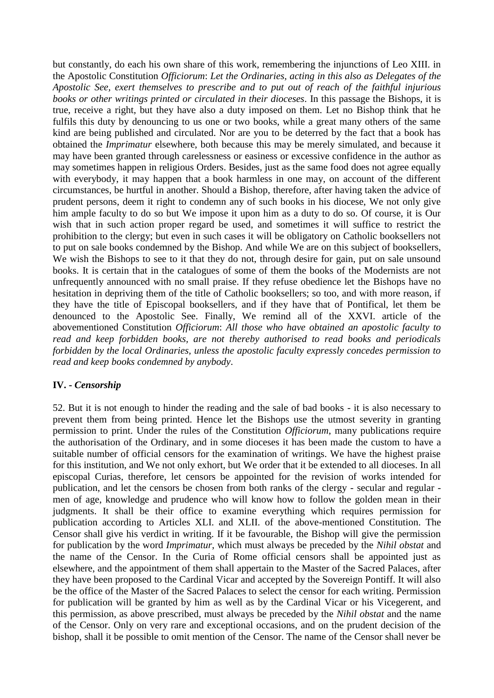but constantly, do each his own share of this work, remembering the injunctions of Leo XIII. in the Apostolic Constitution *Officiorum*: *Let the Ordinaries, acting in this also as Delegates of the Apostolic See, exert themselves to prescribe and to put out of reach of the faithful injurious books or other writings printed or circulated in their dioceses*. In this passage the Bishops, it is true, receive a right, but they have also a duty imposed on them. Let no Bishop think that he fulfils this duty by denouncing to us one or two books, while a great many others of the same kind are being published and circulated. Nor are you to be deterred by the fact that a book has obtained the *Imprimatur* elsewhere, both because this may be merely simulated, and because it may have been granted through carelessness or easiness or excessive confidence in the author as may sometimes happen in religious Orders. Besides, just as the same food does not agree equally with everybody, it may happen that a book harmless in one may, on account of the different circumstances, be hurtful in another. Should a Bishop, therefore, after having taken the advice of prudent persons, deem it right to condemn any of such books in his diocese, We not only give him ample faculty to do so but We impose it upon him as a duty to do so. Of course, it is Our wish that in such action proper regard be used, and sometimes it will suffice to restrict the prohibition to the clergy; but even in such cases it will be obligatory on Catholic booksellers not to put on sale books condemned by the Bishop. And while We are on this subject of booksellers, We wish the Bishops to see to it that they do not, through desire for gain, put on sale unsound books. It is certain that in the catalogues of some of them the books of the Modernists are not unfrequently announced with no small praise. If they refuse obedience let the Bishops have no hesitation in depriving them of the title of Catholic booksellers; so too, and with more reason, if they have the title of Episcopal booksellers, and if they have that of Pontifical, let them be denounced to the Apostolic See. Finally, We remind all of the XXVI. article of the abovementioned Constitution *Officiorum*: *All those who have obtained an apostolic faculty to read and keep forbidden books, are not thereby authorised to read books and periodicals forbidden by the local Ordinaries, unless the apostolic faculty expressly concedes permission to read and keep books condemned by anybody*.

## **IV. -** *Censorship*

52. But it is not enough to hinder the reading and the sale of bad books - it is also necessary to prevent them from being printed. Hence let the Bishops use the utmost severity in granting permission to print. Under the rules of the Constitution *Officiorum*, many publications require the authorisation of the Ordinary, and in some dioceses it has been made the custom to have a suitable number of official censors for the examination of writings. We have the highest praise for this institution, and We not only exhort, but We order that it be extended to all dioceses. In all episcopal Curias, therefore, let censors be appointed for the revision of works intended for publication, and let the censors be chosen from both ranks of the clergy - secular and regular men of age, knowledge and prudence who will know how to follow the golden mean in their judgments. It shall be their office to examine everything which requires permission for publication according to Articles XLI. and XLII. of the above-mentioned Constitution. The Censor shall give his verdict in writing. If it be favourable, the Bishop will give the permission for publication by the word *Imprimatur*, which must always be preceded by the *Nihil obstat* and the name of the Censor. In the Curia of Rome official censors shall be appointed just as elsewhere, and the appointment of them shall appertain to the Master of the Sacred Palaces, after they have been proposed to the Cardinal Vicar and accepted by the Sovereign Pontiff. It will also be the office of the Master of the Sacred Palaces to select the censor for each writing. Permission for publication will be granted by him as well as by the Cardinal Vicar or his Vicegerent, and this permission, as above prescribed, must always be preceded by the *Nihil obstat* and the name of the Censor. Only on very rare and exceptional occasions, and on the prudent decision of the bishop, shall it be possible to omit mention of the Censor. The name of the Censor shall never be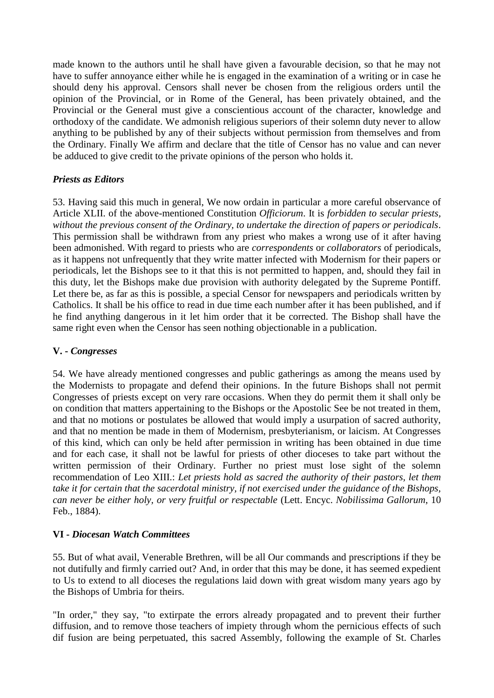made known to the authors until he shall have given a favourable decision, so that he may not have to suffer annoyance either while he is engaged in the examination of a writing or in case he should deny his approval. Censors shall never be chosen from the religious orders until the opinion of the Provincial, or in Rome of the General, has been privately obtained, and the Provincial or the General must give a conscientious account of the character, knowledge and orthodoxy of the candidate. We admonish religious superiors of their solemn duty never to allow anything to be published by any of their subjects without permission from themselves and from the Ordinary. Finally We affirm and declare that the title of Censor has no value and can never be adduced to give credit to the private opinions of the person who holds it.

## *Priests as Editors*

53. Having said this much in general, We now ordain in particular a more careful observance of Article XLII. of the above-mentioned Constitution *Officiorum*. It is *forbidden to secular priests, without the previous consent of the Ordinary, to undertake the direction of papers or periodicals*. This permission shall be withdrawn from any priest who makes a wrong use of it after having been admonished. With regard to priests who are *correspondents* or *collaborators* of periodicals, as it happens not unfrequently that they write matter infected with Modernism for their papers or periodicals, let the Bishops see to it that this is not permitted to happen, and, should they fail in this duty, let the Bishops make due provision with authority delegated by the Supreme Pontiff. Let there be, as far as this is possible, a special Censor for newspapers and periodicals written by Catholics. It shall be his office to read in due time each number after it has been published, and if he find anything dangerous in it let him order that it be corrected. The Bishop shall have the same right even when the Censor has seen nothing objectionable in a publication.

#### **V. -** *Congresses*

54. We have already mentioned congresses and public gatherings as among the means used by the Modernists to propagate and defend their opinions. In the future Bishops shall not permit Congresses of priests except on very rare occasions. When they do permit them it shall only be on condition that matters appertaining to the Bishops or the Apostolic See be not treated in them, and that no motions or postulates be allowed that would imply a usurpation of sacred authority, and that no mention be made in them of Modernism, presbyterianism, or laicism. At Congresses of this kind, which can only be held after permission in writing has been obtained in due time and for each case, it shall not be lawful for priests of other dioceses to take part without the written permission of their Ordinary. Further no priest must lose sight of the solemn recommendation of Leo XIII.: *Let priests hold as sacred the authority of their pastors, let them take it for certain that the sacerdotal ministry, if not exercised under the guidance of the Bishops, can never be either holy, or very fruitful or respectable* (Lett. Encyc. *Nobilissima Gallorum*, 10 Feb., 1884).

## **VI -** *Diocesan Watch Committees*

55. But of what avail, Venerable Brethren, will be all Our commands and prescriptions if they be not dutifully and firmly carried out? And, in order that this may be done, it has seemed expedient to Us to extend to all dioceses the regulations laid down with great wisdom many years ago by the Bishops of Umbria for theirs.

"In order," they say, "to extirpate the errors already propagated and to prevent their further diffusion, and to remove those teachers of impiety through whom the pernicious effects of such dif fusion are being perpetuated, this sacred Assembly, following the example of St. Charles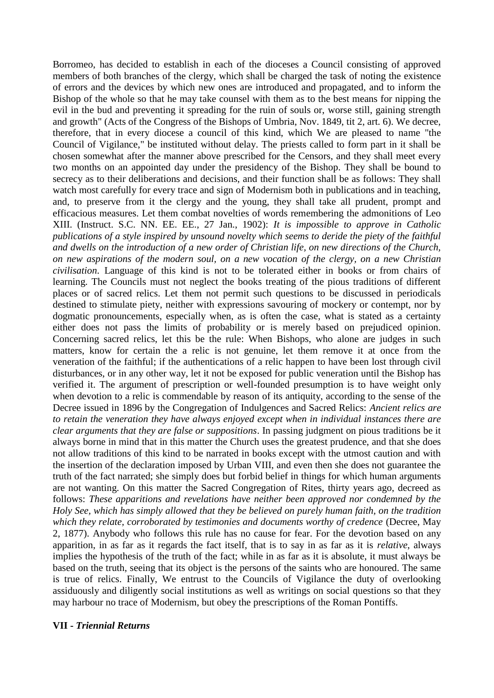Borromeo, has decided to establish in each of the dioceses a Council consisting of approved members of both branches of the clergy, which shall be charged the task of noting the existence of errors and the devices by which new ones are introduced and propagated, and to inform the Bishop of the whole so that he may take counsel with them as to the best means for nipping the evil in the bud and preventing it spreading for the ruin of souls or, worse still, gaining strength and growth" (Acts of the Congress of the Bishops of Umbria, Nov. 1849, tit 2, art. 6). We decree, therefore, that in every diocese a council of this kind, which We are pleased to name "the Council of Vigilance," be instituted without delay. The priests called to form part in it shall be chosen somewhat after the manner above prescribed for the Censors, and they shall meet every two months on an appointed day under the presidency of the Bishop. They shall be bound to secrecy as to their deliberations and decisions, and their function shall be as follows: They shall watch most carefully for every trace and sign of Modernism both in publications and in teaching, and, to preserve from it the clergy and the young, they shall take all prudent, prompt and efficacious measures. Let them combat novelties of words remembering the admonitions of Leo XIII. (Instruct. S.C. NN. EE. EE., 27 Jan., 1902): *It is impossible to approve in Catholic publications of a style inspired by unsound novelty which seems to deride the piety of the faithful and dwells on the introduction of a new order of Christian life, on new directions of the Church, on new aspirations of the modern soul, on a new vocation of the clergy, on a new Christian civilisation*. Language of this kind is not to be tolerated either in books or from chairs of learning. The Councils must not neglect the books treating of the pious traditions of different places or of sacred relics. Let them not permit such questions to be discussed in periodicals destined to stimulate piety, neither with expressions savouring of mockery or contempt, nor by dogmatic pronouncements, especially when, as is often the case, what is stated as a certainty either does not pass the limits of probability or is merely based on prejudiced opinion. Concerning sacred relics, let this be the rule: When Bishops, who alone are judges in such matters, know for certain the a relic is not genuine, let them remove it at once from the veneration of the faithful; if the authentications of a relic happen to have been lost through civil disturbances, or in any other way, let it not be exposed for public veneration until the Bishop has verified it. The argument of prescription or well-founded presumption is to have weight only when devotion to a relic is commendable by reason of its antiquity, according to the sense of the Decree issued in 1896 by the Congregation of Indulgences and Sacred Relics: *Ancient relics are to retain the veneration they have always enjoyed except when in individual instances there are clear arguments that they are false or suppositions*. In passing judgment on pious traditions be it always borne in mind that in this matter the Church uses the greatest prudence, and that she does not allow traditions of this kind to be narrated in books except with the utmost caution and with the insertion of the declaration imposed by Urban VIII, and even then she does not guarantee the truth of the fact narrated; she simply does but forbid belief in things for which human arguments are not wanting. On this matter the Sacred Congregation of Rites, thirty years ago, decreed as follows: *These apparitions and revelations have neither been approved nor condemned by the Holy See, which has simply allowed that they be believed on purely human faith, on the tradition which they relate, corroborated by testimonies and documents worthy of credence* (Decree, May 2, 1877). Anybody who follows this rule has no cause for fear. For the devotion based on any apparition, in as far as it regards the fact itself, that is to say in as far as it is *relative*, always implies the hypothesis of the truth of the fact; while in as far as it is absolute, it must always be based on the truth, seeing that its object is the persons of the saints who are honoured. The same is true of relics. Finally, We entrust to the Councils of Vigilance the duty of overlooking assiduously and diligently social institutions as well as writings on social questions so that they may harbour no trace of Modernism, but obey the prescriptions of the Roman Pontiffs.

#### **VII -** *Triennial Returns*